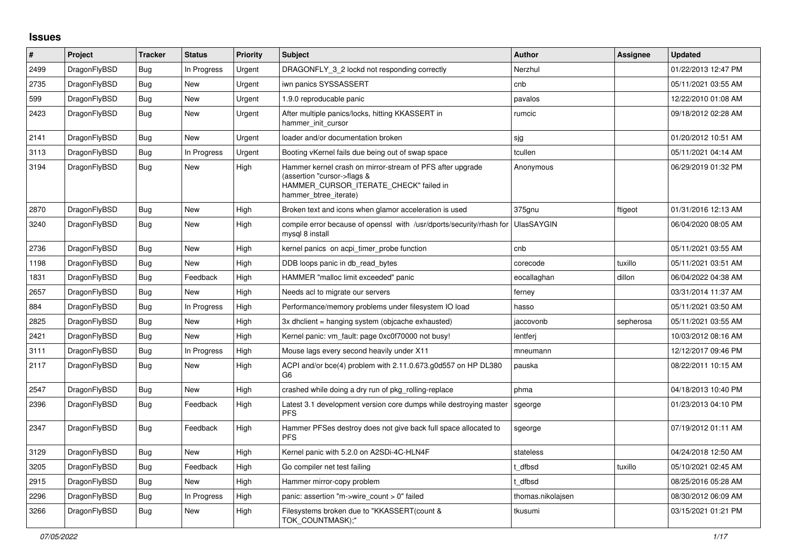## **Issues**

| #    | Project      | <b>Tracker</b> | <b>Status</b> | <b>Priority</b> | <b>Subject</b>                                                                                                                                              | <b>Author</b>     | Assignee  | <b>Updated</b>      |
|------|--------------|----------------|---------------|-----------------|-------------------------------------------------------------------------------------------------------------------------------------------------------------|-------------------|-----------|---------------------|
| 2499 | DragonFlyBSD | <b>Bug</b>     | In Progress   | Urgent          | DRAGONFLY_3_2 lockd not responding correctly                                                                                                                | Nerzhul           |           | 01/22/2013 12:47 PM |
| 2735 | DragonFlyBSD | <b>Bug</b>     | <b>New</b>    | Urgent          | iwn panics SYSSASSERT                                                                                                                                       | cnb               |           | 05/11/2021 03:55 AM |
| 599  | DragonFlyBSD | <b>Bug</b>     | <b>New</b>    | Urgent          | 1.9.0 reproducable panic                                                                                                                                    | pavalos           |           | 12/22/2010 01:08 AM |
| 2423 | DragonFlyBSD | <b>Bug</b>     | <b>New</b>    | Urgent          | After multiple panics/locks, hitting KKASSERT in<br>hammer_init_cursor                                                                                      | rumcic            |           | 09/18/2012 02:28 AM |
| 2141 | DragonFlyBSD | Bug            | New           | Urgent          | loader and/or documentation broken                                                                                                                          | sjg               |           | 01/20/2012 10:51 AM |
| 3113 | DragonFlyBSD | Bug            | In Progress   | Urgent          | Booting vKernel fails due being out of swap space                                                                                                           | tcullen           |           | 05/11/2021 04:14 AM |
| 3194 | DragonFlyBSD | <b>Bug</b>     | New           | High            | Hammer kernel crash on mirror-stream of PFS after upgrade<br>(assertion "cursor->flags &<br>HAMMER_CURSOR_ITERATE_CHECK" failed in<br>hammer_btree_iterate) | Anonymous         |           | 06/29/2019 01:32 PM |
| 2870 | DragonFlyBSD | <b>Bug</b>     | <b>New</b>    | High            | Broken text and icons when glamor acceleration is used                                                                                                      | 375gnu            | ftigeot   | 01/31/2016 12:13 AM |
| 3240 | DragonFlyBSD | <b>Bug</b>     | New           | High            | compile error because of openssl with /usr/dports/security/rhash for<br>mysgl 8 install                                                                     | <b>UlasSAYGIN</b> |           | 06/04/2020 08:05 AM |
| 2736 | DragonFlyBSD | Bug            | New           | High            | kernel panics on acpi_timer_probe function                                                                                                                  | cnb               |           | 05/11/2021 03:55 AM |
| 1198 | DragonFlyBSD | Bug            | New           | High            | DDB loops panic in db read bytes                                                                                                                            | corecode          | tuxillo   | 05/11/2021 03:51 AM |
| 1831 | DragonFlyBSD | <b>Bug</b>     | Feedback      | High            | HAMMER "malloc limit exceeded" panic                                                                                                                        | eocallaghan       | dillon    | 06/04/2022 04:38 AM |
| 2657 | DragonFlyBSD | Bug            | New           | High            | Needs acl to migrate our servers                                                                                                                            | ferney            |           | 03/31/2014 11:37 AM |
| 884  | DragonFlyBSD | Bug            | In Progress   | High            | Performance/memory problems under filesystem IO load                                                                                                        | hasso             |           | 05/11/2021 03:50 AM |
| 2825 | DragonFlyBSD | Bug            | New           | High            | 3x dhclient = hanging system (objcache exhausted)                                                                                                           | jaccovonb         | sepherosa | 05/11/2021 03:55 AM |
| 2421 | DragonFlyBSD | Bug            | New           | High            | Kernel panic: vm fault: page 0xc0f70000 not busy!                                                                                                           | lentferj          |           | 10/03/2012 08:16 AM |
| 3111 | DragonFlyBSD | Bug            | In Progress   | High            | Mouse lags every second heavily under X11                                                                                                                   | mneumann          |           | 12/12/2017 09:46 PM |
| 2117 | DragonFlyBSD | <b>Bug</b>     | <b>New</b>    | High            | ACPI and/or bce(4) problem with 2.11.0.673.g0d557 on HP DL380<br>G <sub>6</sub>                                                                             | pauska            |           | 08/22/2011 10:15 AM |
| 2547 | DragonFlyBSD | Bug            | <b>New</b>    | High            | crashed while doing a dry run of pkg rolling-replace                                                                                                        | phma              |           | 04/18/2013 10:40 PM |
| 2396 | DragonFlyBSD | Bug            | Feedback      | High            | Latest 3.1 development version core dumps while destroying master<br><b>PFS</b>                                                                             | sgeorge           |           | 01/23/2013 04:10 PM |
| 2347 | DragonFlyBSD | <b>Bug</b>     | Feedback      | High            | Hammer PFSes destroy does not give back full space allocated to<br><b>PFS</b>                                                                               | sgeorge           |           | 07/19/2012 01:11 AM |
| 3129 | DragonFlyBSD | <b>Bug</b>     | New           | High            | Kernel panic with 5.2.0 on A2SDi-4C-HLN4F                                                                                                                   | stateless         |           | 04/24/2018 12:50 AM |
| 3205 | DragonFlyBSD | <b>Bug</b>     | Feedback      | High            | Go compiler net test failing                                                                                                                                | t dfbsd           | tuxillo   | 05/10/2021 02:45 AM |
| 2915 | DragonFlyBSD | <b>Bug</b>     | New           | High            | Hammer mirror-copy problem                                                                                                                                  | : dfbsd           |           | 08/25/2016 05:28 AM |
| 2296 | DragonFlyBSD | <b>Bug</b>     | In Progress   | High            | panic: assertion "m->wire_count > 0" failed                                                                                                                 | thomas.nikolajsen |           | 08/30/2012 06:09 AM |
| 3266 | DragonFlyBSD | <b>Bug</b>     | <b>New</b>    | High            | Filesystems broken due to "KKASSERT(count &<br>TOK COUNTMASK);"                                                                                             | tkusumi           |           | 03/15/2021 01:21 PM |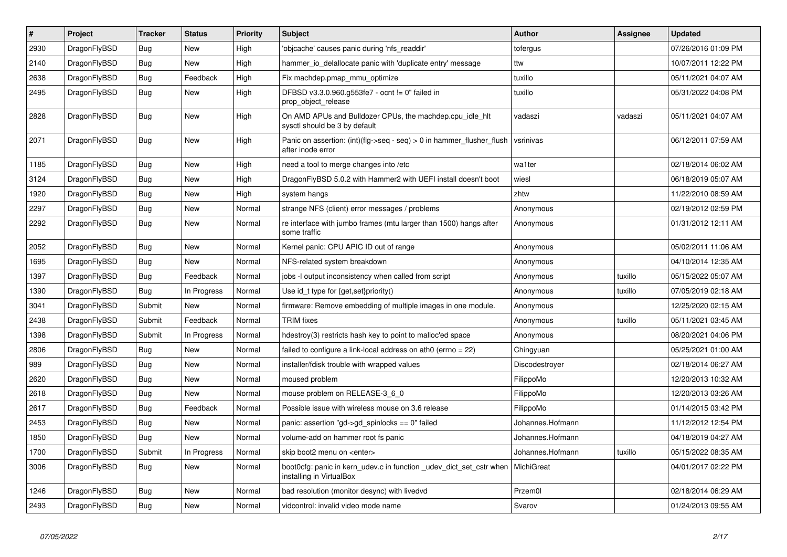| $\vert$ # | Project      | <b>Tracker</b> | <b>Status</b> | <b>Priority</b> | <b>Subject</b>                                                                                 | <b>Author</b>    | Assignee | <b>Updated</b>      |
|-----------|--------------|----------------|---------------|-----------------|------------------------------------------------------------------------------------------------|------------------|----------|---------------------|
| 2930      | DragonFlyBSD | Bug            | New           | High            | 'objcache' causes panic during 'nfs readdir'                                                   | tofergus         |          | 07/26/2016 01:09 PM |
| 2140      | DragonFlyBSD | <b>Bug</b>     | <b>New</b>    | High            | hammer io delallocate panic with 'duplicate entry' message                                     | ttw              |          | 10/07/2011 12:22 PM |
| 2638      | DragonFlyBSD | Bug            | Feedback      | High            | Fix machdep.pmap mmu optimize                                                                  | tuxillo          |          | 05/11/2021 04:07 AM |
| 2495      | DragonFlyBSD | Bug            | New           | High            | DFBSD v3.3.0.960.g553fe7 - ocnt != 0" failed in<br>prop_object_release                         | tuxillo          |          | 05/31/2022 04:08 PM |
| 2828      | DragonFlyBSD | <b>Bug</b>     | New           | High            | On AMD APUs and Bulldozer CPUs, the machdep.cpu_idle_hlt<br>sysctl should be 3 by default      | vadaszi          | vadaszi  | 05/11/2021 04:07 AM |
| 2071      | DragonFlyBSD | <b>Bug</b>     | <b>New</b>    | High            | Panic on assertion: $(int)(flag->seq - seq) > 0$ in hammer flusher flush<br>after inode error  | vsrinivas        |          | 06/12/2011 07:59 AM |
| 1185      | DragonFlyBSD | Bug            | New           | High            | need a tool to merge changes into /etc                                                         | wa1ter           |          | 02/18/2014 06:02 AM |
| 3124      | DragonFlyBSD | <b>Bug</b>     | <b>New</b>    | High            | DragonFlyBSD 5.0.2 with Hammer2 with UEFI install doesn't boot                                 | wiesl            |          | 06/18/2019 05:07 AM |
| 1920      | DragonFlyBSD | <b>Bug</b>     | <b>New</b>    | High            | system hangs                                                                                   | zhtw             |          | 11/22/2010 08:59 AM |
| 2297      | DragonFlyBSD | Bug            | New           | Normal          | strange NFS (client) error messages / problems                                                 | Anonymous        |          | 02/19/2012 02:59 PM |
| 2292      | DragonFlyBSD | Bug            | New           | Normal          | re interface with jumbo frames (mtu larger than 1500) hangs after<br>some traffic              | Anonymous        |          | 01/31/2012 12:11 AM |
| 2052      | DragonFlyBSD | Bug            | <b>New</b>    | Normal          | Kernel panic: CPU APIC ID out of range                                                         | Anonymous        |          | 05/02/2011 11:06 AM |
| 1695      | DragonFlyBSD | Bug            | New           | Normal          | NFS-related system breakdown                                                                   | Anonymous        |          | 04/10/2014 12:35 AM |
| 1397      | DragonFlyBSD | <b>Bug</b>     | Feedback      | Normal          | jobs -I output inconsistency when called from script                                           | Anonymous        | tuxillo  | 05/15/2022 05:07 AM |
| 1390      | DragonFlyBSD | Bug            | In Progress   | Normal          | Use id_t type for $\{get, set\}$ priority $()$                                                 | Anonymous        | tuxillo  | 07/05/2019 02:18 AM |
| 3041      | DragonFlyBSD | Submit         | New           | Normal          | firmware: Remove embedding of multiple images in one module.                                   | Anonymous        |          | 12/25/2020 02:15 AM |
| 2438      | DragonFlyBSD | Submit         | Feedback      | Normal          | <b>TRIM</b> fixes                                                                              | Anonymous        | tuxillo  | 05/11/2021 03:45 AM |
| 1398      | DragonFlyBSD | Submit         | In Progress   | Normal          | hdestroy(3) restricts hash key to point to malloc'ed space                                     | Anonymous        |          | 08/20/2021 04:06 PM |
| 2806      | DragonFlyBSD | Bug            | <b>New</b>    | Normal          | failed to configure a link-local address on ath0 (errno = 22)                                  | Chingyuan        |          | 05/25/2021 01:00 AM |
| 989       | DragonFlyBSD | Bug            | New           | Normal          | installer/fdisk trouble with wrapped values                                                    | Discodestroyer   |          | 02/18/2014 06:27 AM |
| 2620      | DragonFlyBSD | <b>Bug</b>     | New           | Normal          | moused problem                                                                                 | FilippoMo        |          | 12/20/2013 10:32 AM |
| 2618      | DragonFlyBSD | <b>Bug</b>     | <b>New</b>    | Normal          | mouse problem on RELEASE-3 6 0                                                                 | FilippoMo        |          | 12/20/2013 03:26 AM |
| 2617      | DragonFlyBSD | Bug            | Feedback      | Normal          | Possible issue with wireless mouse on 3.6 release                                              | FilippoMo        |          | 01/14/2015 03:42 PM |
| 2453      | DragonFlyBSD | <b>Bug</b>     | <b>New</b>    | Normal          | panic: assertion "gd->gd_spinlocks == 0" failed                                                | Johannes.Hofmann |          | 11/12/2012 12:54 PM |
| 1850      | DragonFlyBSD | <b>Bug</b>     | <b>New</b>    | Normal          | volume-add on hammer root fs panic                                                             | Johannes.Hofmann |          | 04/18/2019 04:27 AM |
| 1700      | DragonFlyBSD | Submit         | In Progress   | Normal          | skip boot2 menu on <enter></enter>                                                             | Johannes.Hofmann | tuxillo  | 05/15/2022 08:35 AM |
| 3006      | DragonFlyBSD | Bug            | New           | Normal          | boot0cfg: panic in kern udev.c in function udev dict set cstr when<br>installing in VirtualBox | MichiGreat       |          | 04/01/2017 02:22 PM |
| 1246      | DragonFlyBSD | <b>Bug</b>     | <b>New</b>    | Normal          | bad resolution (monitor desync) with livedvd                                                   | Przem0l          |          | 02/18/2014 06:29 AM |
| 2493      | DragonFlyBSD | Bug            | <b>New</b>    | Normal          | vidcontrol: invalid video mode name                                                            | Svarov           |          | 01/24/2013 09:55 AM |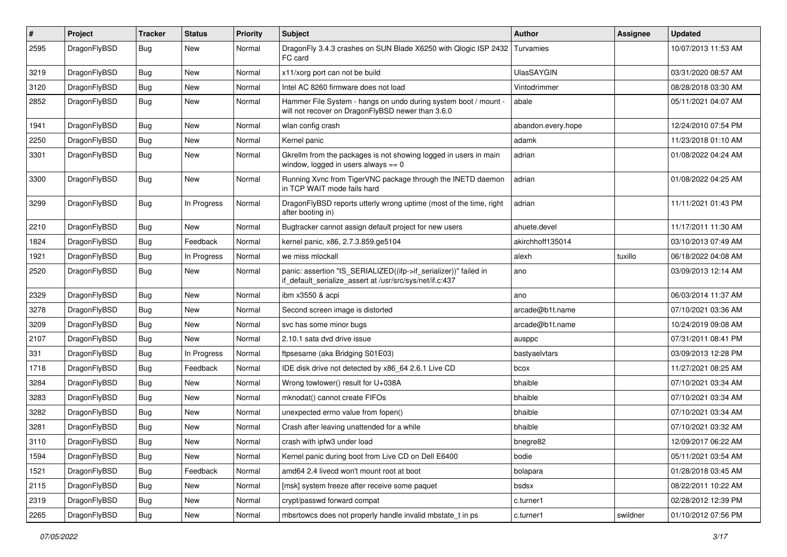| $\pmb{\#}$ | Project      | <b>Tracker</b> | <b>Status</b> | <b>Priority</b> | Subject                                                                                                                      | <b>Author</b>      | <b>Assignee</b> | <b>Updated</b>      |
|------------|--------------|----------------|---------------|-----------------|------------------------------------------------------------------------------------------------------------------------------|--------------------|-----------------|---------------------|
| 2595       | DragonFlyBSD | Bug            | New           | Normal          | DragonFly 3.4.3 crashes on SUN Blade X6250 with Qlogic ISP 2432<br>FC card                                                   | Turvamies          |                 | 10/07/2013 11:53 AM |
| 3219       | DragonFlyBSD | <b>Bug</b>     | <b>New</b>    | Normal          | x11/xorg port can not be build                                                                                               | UlasSAYGIN         |                 | 03/31/2020 08:57 AM |
| 3120       | DragonFlyBSD | Bug            | <b>New</b>    | Normal          | Intel AC 8260 firmware does not load                                                                                         | Vintodrimmer       |                 | 08/28/2018 03:30 AM |
| 2852       | DragonFlyBSD | <b>Bug</b>     | New           | Normal          | Hammer File System - hangs on undo during system boot / mount -<br>will not recover on DragonFlyBSD newer than 3.6.0         | abale              |                 | 05/11/2021 04:07 AM |
| 1941       | DragonFlyBSD | Bug            | <b>New</b>    | Normal          | wlan config crash                                                                                                            | abandon.every.hope |                 | 12/24/2010 07:54 PM |
| 2250       | DragonFlyBSD | Bug            | <b>New</b>    | Normal          | Kernel panic                                                                                                                 | adamk              |                 | 11/23/2018 01:10 AM |
| 3301       | DragonFlyBSD | Bug            | New           | Normal          | Gkrellm from the packages is not showing logged in users in main<br>window, logged in users always $== 0$                    | adrian             |                 | 01/08/2022 04:24 AM |
| 3300       | DragonFlyBSD | <b>Bug</b>     | New           | Normal          | Running Xvnc from TigerVNC package through the INETD daemon<br>in TCP WAIT mode fails hard                                   | adrian             |                 | 01/08/2022 04:25 AM |
| 3299       | DragonFlyBSD | Bug            | In Progress   | Normal          | DragonFlyBSD reports utterly wrong uptime (most of the time, right<br>after booting in)                                      | adrian             |                 | 11/11/2021 01:43 PM |
| 2210       | DragonFlyBSD | Bug            | New           | Normal          | Bugtracker cannot assign default project for new users                                                                       | ahuete.devel       |                 | 11/17/2011 11:30 AM |
| 1824       | DragonFlyBSD | <b>Bug</b>     | Feedback      | Normal          | kernel panic, x86, 2.7.3.859.ge5104                                                                                          | akirchhoff135014   |                 | 03/10/2013 07:49 AM |
| 1921       | DragonFlyBSD | <b>Bug</b>     | In Progress   | Normal          | we miss mlockall                                                                                                             | alexh              | tuxillo         | 06/18/2022 04:08 AM |
| 2520       | DragonFlyBSD | <b>Bug</b>     | New           | Normal          | panic: assertion "IS_SERIALIZED((ifp->if_serializer))" failed in<br>if default serialize assert at /usr/src/sys/net/if.c:437 | ano                |                 | 03/09/2013 12:14 AM |
| 2329       | DragonFlyBSD | <b>Bug</b>     | <b>New</b>    | Normal          | ibm x3550 & acpi                                                                                                             | ano                |                 | 06/03/2014 11:37 AM |
| 3278       | DragonFlyBSD | Bug            | <b>New</b>    | Normal          | Second screen image is distorted                                                                                             | arcade@b1t.name    |                 | 07/10/2021 03:36 AM |
| 3209       | DragonFlyBSD | Bug            | New           | Normal          | svc has some minor bugs                                                                                                      | arcade@b1t.name    |                 | 10/24/2019 09:08 AM |
| 2107       | DragonFlyBSD | Bug            | New           | Normal          | 2.10.1 sata dvd drive issue                                                                                                  | ausppc             |                 | 07/31/2011 08:41 PM |
| 331        | DragonFlyBSD | Bug            | In Progress   | Normal          | ftpsesame (aka Bridging S01E03)                                                                                              | bastyaelvtars      |                 | 03/09/2013 12:28 PM |
| 1718       | DragonFlyBSD | Bug            | Feedback      | Normal          | IDE disk drive not detected by x86_64 2.6.1 Live CD                                                                          | bcox               |                 | 11/27/2021 08:25 AM |
| 3284       | DragonFlyBSD | Bug            | <b>New</b>    | Normal          | Wrong towlower() result for U+038A                                                                                           | bhaible            |                 | 07/10/2021 03:34 AM |
| 3283       | DragonFlyBSD | <b>Bug</b>     | <b>New</b>    | Normal          | mknodat() cannot create FIFOs                                                                                                | bhaible            |                 | 07/10/2021 03:34 AM |
| 3282       | DragonFlyBSD | Bug            | <b>New</b>    | Normal          | unexpected errno value from fopen()                                                                                          | bhaible            |                 | 07/10/2021 03:34 AM |
| 3281       | DragonFlyBSD | <b>Bug</b>     | New           | Normal          | Crash after leaving unattended for a while                                                                                   | bhaible            |                 | 07/10/2021 03:32 AM |
| 3110       | DragonFlyBSD | Bug            | New           | Normal          | crash with ipfw3 under load                                                                                                  | bnegre82           |                 | 12/09/2017 06:22 AM |
| 1594       | DragonFlyBSD | Bug            | New           | Normal          | Kernel panic during boot from Live CD on Dell E6400                                                                          | bodie              |                 | 05/11/2021 03:54 AM |
| 1521       | DragonFlyBSD | <b>Bug</b>     | Feedback      | Normal          | amd64 2.4 livecd won't mount root at boot                                                                                    | bolapara           |                 | 01/28/2018 03:45 AM |
| 2115       | DragonFlyBSD | <b>Bug</b>     | New           | Normal          | [msk] system freeze after receive some paquet                                                                                | bsdsx              |                 | 08/22/2011 10:22 AM |
| 2319       | DragonFlyBSD | Bug            | New           | Normal          | crypt/passwd forward compat                                                                                                  | c.turner1          |                 | 02/28/2012 12:39 PM |
| 2265       | DragonFlyBSD | Bug            | New           | Normal          | mbsrtowcs does not properly handle invalid mbstate_t in ps                                                                   | c.turner1          | swildner        | 01/10/2012 07:56 PM |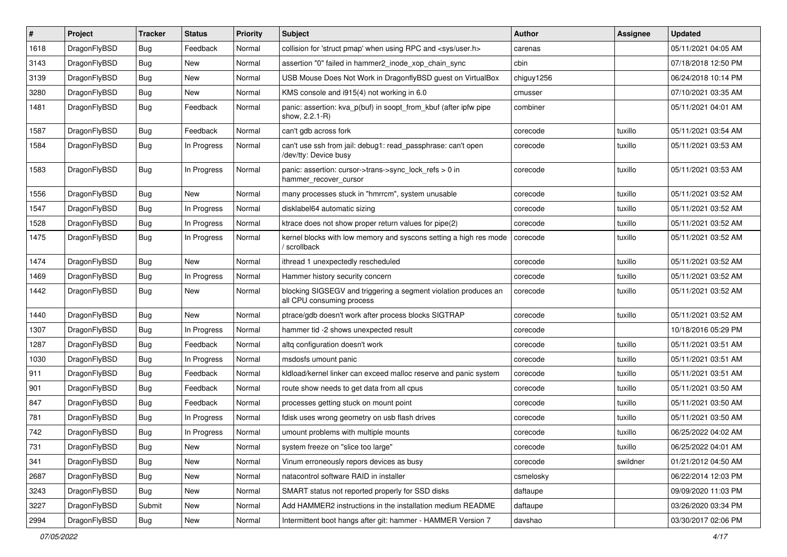| #    | Project      | <b>Tracker</b> | <b>Status</b> | <b>Priority</b> | <b>Subject</b>                                                                               | <b>Author</b> | <b>Assignee</b> | <b>Updated</b>      |
|------|--------------|----------------|---------------|-----------------|----------------------------------------------------------------------------------------------|---------------|-----------------|---------------------|
| 1618 | DragonFlyBSD | <b>Bug</b>     | Feedback      | Normal          | collision for 'struct pmap' when using RPC and <sys user.h=""></sys>                         | carenas       |                 | 05/11/2021 04:05 AM |
| 3143 | DragonFlyBSD | Bug            | <b>New</b>    | Normal          | assertion "0" failed in hammer2 inode xop chain sync                                         | cbin          |                 | 07/18/2018 12:50 PM |
| 3139 | DragonFlyBSD | <b>Bug</b>     | <b>New</b>    | Normal          | USB Mouse Does Not Work in DragonflyBSD guest on VirtualBox                                  | chiguy1256    |                 | 06/24/2018 10:14 PM |
| 3280 | DragonFlyBSD | Bug            | <b>New</b>    | Normal          | KMS console and i915(4) not working in 6.0                                                   | cmusser       |                 | 07/10/2021 03:35 AM |
| 1481 | DragonFlyBSD | Bug            | Feedback      | Normal          | panic: assertion: kva_p(buf) in soopt_from_kbuf (after ipfw pipe<br>show, 2.2.1-R)           | combiner      |                 | 05/11/2021 04:01 AM |
| 1587 | DragonFlyBSD | Bug            | Feedback      | Normal          | can't gdb across fork                                                                        | corecode      | tuxillo         | 05/11/2021 03:54 AM |
| 1584 | DragonFlyBSD | <b>Bug</b>     | In Progress   | Normal          | can't use ssh from jail: debug1: read_passphrase: can't open<br>/dev/tty: Device busy        | corecode      | tuxillo         | 05/11/2021 03:53 AM |
| 1583 | DragonFlyBSD | Bug            | In Progress   | Normal          | panic: assertion: cursor->trans->sync_lock_refs > 0 in<br>hammer_recover_cursor              | corecode      | tuxillo         | 05/11/2021 03:53 AM |
| 1556 | DragonFlyBSD | <b>Bug</b>     | <b>New</b>    | Normal          | many processes stuck in "hmrrcm", system unusable                                            | corecode      | tuxillo         | 05/11/2021 03:52 AM |
| 1547 | DragonFlyBSD | <b>Bug</b>     | In Progress   | Normal          | disklabel64 automatic sizing                                                                 | corecode      | tuxillo         | 05/11/2021 03:52 AM |
| 1528 | DragonFlyBSD | <b>Bug</b>     | In Progress   | Normal          | ktrace does not show proper return values for pipe(2)                                        | corecode      | tuxillo         | 05/11/2021 03:52 AM |
| 1475 | DragonFlyBSD | Bug            | In Progress   | Normal          | kernel blocks with low memory and syscons setting a high res mode<br>/ scrollback            | corecode      | tuxillo         | 05/11/2021 03:52 AM |
| 1474 | DragonFlyBSD | <b>Bug</b>     | New           | Normal          | ithread 1 unexpectedly rescheduled                                                           | corecode      | tuxillo         | 05/11/2021 03:52 AM |
| 1469 | DragonFlyBSD | <b>Bug</b>     | In Progress   | Normal          | Hammer history security concern                                                              | corecode      | tuxillo         | 05/11/2021 03:52 AM |
| 1442 | DragonFlyBSD | <b>Bug</b>     | New           | Normal          | blocking SIGSEGV and triggering a segment violation produces an<br>all CPU consuming process | corecode      | tuxillo         | 05/11/2021 03:52 AM |
| 1440 | DragonFlyBSD | <b>Bug</b>     | <b>New</b>    | Normal          | ptrace/gdb doesn't work after process blocks SIGTRAP                                         | corecode      | tuxillo         | 05/11/2021 03:52 AM |
| 1307 | DragonFlyBSD | <b>Bug</b>     | In Progress   | Normal          | hammer tid -2 shows unexpected result                                                        | corecode      |                 | 10/18/2016 05:29 PM |
| 1287 | DragonFlyBSD | <b>Bug</b>     | Feedback      | Normal          | altg configuration doesn't work                                                              | corecode      | tuxillo         | 05/11/2021 03:51 AM |
| 1030 | DragonFlyBSD | <b>Bug</b>     | In Progress   | Normal          | msdosfs umount panic                                                                         | corecode      | tuxillo         | 05/11/2021 03:51 AM |
| 911  | DragonFlyBSD | <b>Bug</b>     | Feedback      | Normal          | kldload/kernel linker can exceed malloc reserve and panic system                             | corecode      | tuxillo         | 05/11/2021 03:51 AM |
| 901  | DragonFlyBSD | <b>Bug</b>     | Feedback      | Normal          | route show needs to get data from all cpus                                                   | corecode      | tuxillo         | 05/11/2021 03:50 AM |
| 847  | DragonFlyBSD | <b>Bug</b>     | Feedback      | Normal          | processes getting stuck on mount point                                                       | corecode      | tuxillo         | 05/11/2021 03:50 AM |
| 781  | DragonFlyBSD | <b>Bug</b>     | In Progress   | Normal          | fdisk uses wrong geometry on usb flash drives                                                | corecode      | tuxillo         | 05/11/2021 03:50 AM |
| 742  | DragonFlyBSD | <b>Bug</b>     | In Progress   | Normal          | umount problems with multiple mounts                                                         | corecode      | tuxillo         | 06/25/2022 04:02 AM |
| 731  | DragonFlyBSD | Bug            | New           | Normal          | system freeze on "slice too large"                                                           | corecode      | tuxillo         | 06/25/2022 04:01 AM |
| 341  | DragonFlyBSD | Bug            | New           | Normal          | Vinum erroneously repors devices as busy                                                     | corecode      | swildner        | 01/21/2012 04:50 AM |
| 2687 | DragonFlyBSD | Bug            | New           | Normal          | natacontrol software RAID in installer                                                       | csmelosky     |                 | 06/22/2014 12:03 PM |
| 3243 | DragonFlyBSD | Bug            | New           | Normal          | SMART status not reported properly for SSD disks                                             | daftaupe      |                 | 09/09/2020 11:03 PM |
| 3227 | DragonFlyBSD | Submit         | New           | Normal          | Add HAMMER2 instructions in the installation medium README                                   | daftaupe      |                 | 03/26/2020 03:34 PM |
| 2994 | DragonFlyBSD | Bug            | New           | Normal          | Intermittent boot hangs after git: hammer - HAMMER Version 7                                 | davshao       |                 | 03/30/2017 02:06 PM |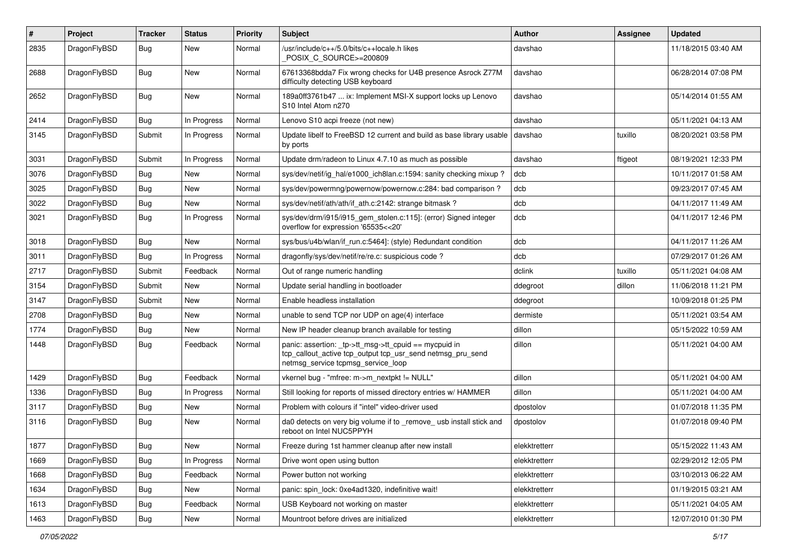| $\#$ | Project      | <b>Tracker</b> | <b>Status</b> | <b>Priority</b> | Subject                                                                                                                                                   | <b>Author</b> | <b>Assignee</b> | <b>Updated</b>      |
|------|--------------|----------------|---------------|-----------------|-----------------------------------------------------------------------------------------------------------------------------------------------------------|---------------|-----------------|---------------------|
| 2835 | DragonFlyBSD | <b>Bug</b>     | New           | Normal          | /usr/include/c++/5.0/bits/c++locale.h likes<br>POSIX_C_SOURCE>=200809                                                                                     | davshao       |                 | 11/18/2015 03:40 AM |
| 2688 | DragonFlyBSD | <b>Bug</b>     | New           | Normal          | 67613368bdda7 Fix wrong checks for U4B presence Asrock Z77M<br>difficulty detecting USB keyboard                                                          | davshao       |                 | 06/28/2014 07:08 PM |
| 2652 | DragonFlyBSD | Bug            | New           | Normal          | 189a0ff3761b47  ix: Implement MSI-X support locks up Lenovo<br>S10 Intel Atom n270                                                                        | davshao       |                 | 05/14/2014 01:55 AM |
| 2414 | DragonFlyBSD | <b>Bug</b>     | In Progress   | Normal          | Lenovo S10 acpi freeze (not new)                                                                                                                          | davshao       |                 | 05/11/2021 04:13 AM |
| 3145 | DragonFlyBSD | Submit         | In Progress   | Normal          | Update libelf to FreeBSD 12 current and build as base library usable<br>by ports                                                                          | davshao       | tuxillo         | 08/20/2021 03:58 PM |
| 3031 | DragonFlyBSD | Submit         | In Progress   | Normal          | Update drm/radeon to Linux 4.7.10 as much as possible                                                                                                     | davshao       | ftigeot         | 08/19/2021 12:33 PM |
| 3076 | DragonFlyBSD | <b>Bug</b>     | New           | Normal          | sys/dev/netif/ig_hal/e1000_ich8lan.c:1594: sanity checking mixup?                                                                                         | dcb           |                 | 10/11/2017 01:58 AM |
| 3025 | DragonFlyBSD | Bug            | New           | Normal          | sys/dev/powermng/powernow/powernow.c:284: bad comparison?                                                                                                 | dcb           |                 | 09/23/2017 07:45 AM |
| 3022 | DragonFlyBSD | <b>Bug</b>     | New           | Normal          | sys/dev/netif/ath/ath/if_ath.c:2142: strange bitmask?                                                                                                     | dcb           |                 | 04/11/2017 11:49 AM |
| 3021 | DragonFlyBSD | <b>Bug</b>     | In Progress   | Normal          | sys/dev/drm/i915/i915_gem_stolen.c:115]: (error) Signed integer<br>overflow for expression '65535<<20'                                                    | dcb           |                 | 04/11/2017 12:46 PM |
| 3018 | DragonFlyBSD | <b>Bug</b>     | New           | Normal          | sys/bus/u4b/wlan/if_run.c:5464]: (style) Redundant condition                                                                                              | dcb           |                 | 04/11/2017 11:26 AM |
| 3011 | DragonFlyBSD | <b>Bug</b>     | In Progress   | Normal          | dragonfly/sys/dev/netif/re/re.c: suspicious code ?                                                                                                        | dcb           |                 | 07/29/2017 01:26 AM |
| 2717 | DragonFlyBSD | Submit         | Feedback      | Normal          | Out of range numeric handling                                                                                                                             | dclink        | tuxillo         | 05/11/2021 04:08 AM |
| 3154 | DragonFlyBSD | Submit         | New           | Normal          | Update serial handling in bootloader                                                                                                                      | ddegroot      | dillon          | 11/06/2018 11:21 PM |
| 3147 | DragonFlyBSD | Submit         | New           | Normal          | Enable headless installation                                                                                                                              | ddegroot      |                 | 10/09/2018 01:25 PM |
| 2708 | DragonFlyBSD | <b>Bug</b>     | New           | Normal          | unable to send TCP nor UDP on age(4) interface                                                                                                            | dermiste      |                 | 05/11/2021 03:54 AM |
| 1774 | DragonFlyBSD | Bug            | New           | Normal          | New IP header cleanup branch available for testing                                                                                                        | dillon        |                 | 05/15/2022 10:59 AM |
| 1448 | DragonFlyBSD | <b>Bug</b>     | Feedback      | Normal          | panic: assertion: _tp->tt_msg->tt_cpuid == mycpuid in<br>tcp_callout_active tcp_output tcp_usr_send netmsg_pru_send<br>netmsg_service tcpmsg_service_loop | dillon        |                 | 05/11/2021 04:00 AM |
| 1429 | DragonFlyBSD | Bug            | Feedback      | Normal          | vkernel bug - "mfree: m->m_nextpkt != NULL"                                                                                                               | dillon        |                 | 05/11/2021 04:00 AM |
| 1336 | DragonFlyBSD | Bug            | In Progress   | Normal          | Still looking for reports of missed directory entries w/ HAMMER                                                                                           | dillon        |                 | 05/11/2021 04:00 AM |
| 3117 | DragonFlyBSD | Bug            | New           | Normal          | Problem with colours if "intel" video-driver used                                                                                                         | dpostolov     |                 | 01/07/2018 11:35 PM |
| 3116 | DragonFlyBSD | Bug            | New           | Normal          | da0 detects on very big volume if to _remove_ usb install stick and<br>reboot on Intel NUC5PPYH                                                           | dpostolov     |                 | 01/07/2018 09:40 PM |
| 1877 | DragonFlyBSD | <b>Bug</b>     | New           | Normal          | Freeze during 1st hammer cleanup after new install                                                                                                        | elekktretterr |                 | 05/15/2022 11:43 AM |
| 1669 | DragonFlyBSD | <b>Bug</b>     | In Progress   | Normal          | Drive wont open using button                                                                                                                              | elekktretterr |                 | 02/29/2012 12:05 PM |
| 1668 | DragonFlyBSD | <b>Bug</b>     | Feedback      | Normal          | Power button not working                                                                                                                                  | elekktretterr |                 | 03/10/2013 06:22 AM |
| 1634 | DragonFlyBSD | Bug            | New           | Normal          | panic: spin lock: 0xe4ad1320, indefinitive wait!                                                                                                          | elekktretterr |                 | 01/19/2015 03:21 AM |
| 1613 | DragonFlyBSD | Bug            | Feedback      | Normal          | USB Keyboard not working on master                                                                                                                        | elekktretterr |                 | 05/11/2021 04:05 AM |
| 1463 | DragonFlyBSD | Bug            | New           | Normal          | Mountroot before drives are initialized                                                                                                                   | elekktretterr |                 | 12/07/2010 01:30 PM |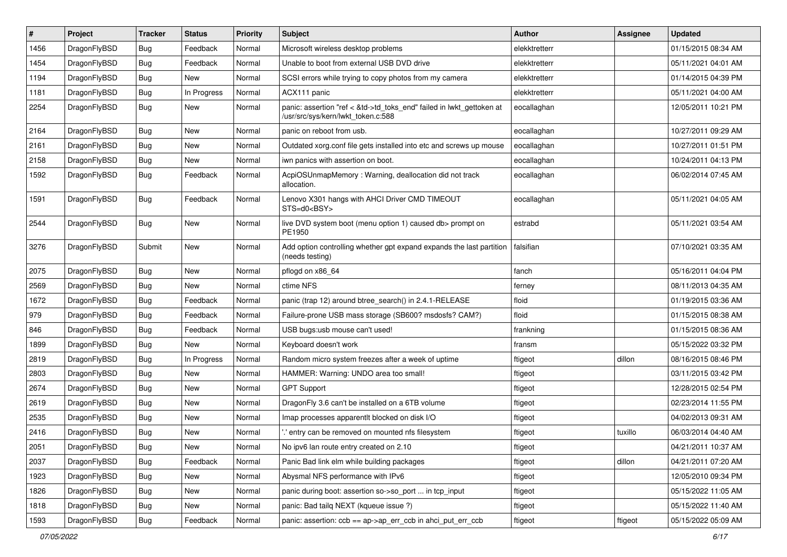| #    | Project      | <b>Tracker</b> | <b>Status</b> | <b>Priority</b> | <b>Subject</b>                                                                                             | <b>Author</b> | Assignee | <b>Updated</b>      |
|------|--------------|----------------|---------------|-----------------|------------------------------------------------------------------------------------------------------------|---------------|----------|---------------------|
| 1456 | DragonFlyBSD | <b>Bug</b>     | Feedback      | Normal          | Microsoft wireless desktop problems                                                                        | elekktretterr |          | 01/15/2015 08:34 AM |
| 1454 | DragonFlyBSD | <b>Bug</b>     | Feedback      | Normal          | Unable to boot from external USB DVD drive                                                                 | elekktretterr |          | 05/11/2021 04:01 AM |
| 1194 | DragonFlyBSD | <b>Bug</b>     | New           | Normal          | SCSI errors while trying to copy photos from my camera                                                     | elekktretterr |          | 01/14/2015 04:39 PM |
| 1181 | DragonFlyBSD | <b>Bug</b>     | In Progress   | Normal          | ACX111 panic                                                                                               | elekktretterr |          | 05/11/2021 04:00 AM |
| 2254 | DragonFlyBSD | Bug            | New           | Normal          | panic: assertion "ref < &td->td_toks_end" failed in lwkt_gettoken at<br>/usr/src/sys/kern/lwkt_token.c:588 | eocallaghan   |          | 12/05/2011 10:21 PM |
| 2164 | DragonFlyBSD | Bug            | <b>New</b>    | Normal          | panic on reboot from usb.                                                                                  | eocallaghan   |          | 10/27/2011 09:29 AM |
| 2161 | DragonFlyBSD | <b>Bug</b>     | <b>New</b>    | Normal          | Outdated xorg.conf file gets installed into etc and screws up mouse                                        | eocallaghan   |          | 10/27/2011 01:51 PM |
| 2158 | DragonFlyBSD | <b>Bug</b>     | <b>New</b>    | Normal          | iwn panics with assertion on boot.                                                                         | eocallaghan   |          | 10/24/2011 04:13 PM |
| 1592 | DragonFlyBSD | Bug            | Feedback      | Normal          | AcpiOSUnmapMemory: Warning, deallocation did not track<br>allocation.                                      | eocallaghan   |          | 06/02/2014 07:45 AM |
| 1591 | DragonFlyBSD | Bug            | Feedback      | Normal          | Lenovo X301 hangs with AHCI Driver CMD TIMEOUT<br>STS=d0 <bsy></bsy>                                       | eocallaghan   |          | 05/11/2021 04:05 AM |
| 2544 | DragonFlyBSD | <b>Bug</b>     | New           | Normal          | live DVD system boot (menu option 1) caused db> prompt on<br>PE1950                                        | estrabd       |          | 05/11/2021 03:54 AM |
| 3276 | DragonFlyBSD | Submit         | New           | Normal          | Add option controlling whether gpt expand expands the last partition<br>(needs testing)                    | falsifian     |          | 07/10/2021 03:35 AM |
| 2075 | DragonFlyBSD | Bug            | <b>New</b>    | Normal          | pflogd on x86_64                                                                                           | fanch         |          | 05/16/2011 04:04 PM |
| 2569 | DragonFlyBSD | <b>Bug</b>     | New           | Normal          | ctime NFS                                                                                                  | ferney        |          | 08/11/2013 04:35 AM |
| 1672 | DragonFlyBSD | <b>Bug</b>     | Feedback      | Normal          | panic (trap 12) around btree_search() in 2.4.1-RELEASE                                                     | floid         |          | 01/19/2015 03:36 AM |
| 979  | DragonFlyBSD | <b>Bug</b>     | Feedback      | Normal          | Failure-prone USB mass storage (SB600? msdosfs? CAM?)                                                      | floid         |          | 01/15/2015 08:38 AM |
| 846  | DragonFlyBSD | <b>Bug</b>     | Feedback      | Normal          | USB bugs:usb mouse can't used!                                                                             | frankning     |          | 01/15/2015 08:36 AM |
| 1899 | DragonFlyBSD | Bug            | <b>New</b>    | Normal          | Keyboard doesn't work                                                                                      | fransm        |          | 05/15/2022 03:32 PM |
| 2819 | DragonFlyBSD | <b>Bug</b>     | In Progress   | Normal          | Random micro system freezes after a week of uptime                                                         | ftigeot       | dillon   | 08/16/2015 08:46 PM |
| 2803 | DragonFlyBSD | Bug            | <b>New</b>    | Normal          | HAMMER: Warning: UNDO area too small!                                                                      | ftigeot       |          | 03/11/2015 03:42 PM |
| 2674 | DragonFlyBSD | Bug            | <b>New</b>    | Normal          | <b>GPT Support</b>                                                                                         | ftigeot       |          | 12/28/2015 02:54 PM |
| 2619 | DragonFlyBSD | Bug            | <b>New</b>    | Normal          | DragonFly 3.6 can't be installed on a 6TB volume                                                           | ftigeot       |          | 02/23/2014 11:55 PM |
| 2535 | DragonFlyBSD | Bug            | <b>New</b>    | Normal          | Imap processes apparentlt blocked on disk I/O                                                              | ftigeot       |          | 04/02/2013 09:31 AM |
| 2416 | DragonFlyBSD | <b>Bug</b>     | <b>New</b>    | Normal          | ".' entry can be removed on mounted nfs filesystem                                                         | ftigeot       | tuxillo  | 06/03/2014 04:40 AM |
| 2051 | DragonFlyBSD | <b>Bug</b>     | New           | Normal          | No ipv6 lan route entry created on 2.10                                                                    | ftigeot       |          | 04/21/2011 10:37 AM |
| 2037 | DragonFlyBSD | Bug            | Feedback      | Normal          | Panic Bad link elm while building packages                                                                 | ftigeot       | dillon   | 04/21/2011 07:20 AM |
| 1923 | DragonFlyBSD | <b>Bug</b>     | New           | Normal          | Abysmal NFS performance with IPv6                                                                          | ftigeot       |          | 12/05/2010 09:34 PM |
| 1826 | DragonFlyBSD | Bug            | New           | Normal          | panic during boot: assertion so->so_port  in tcp_input                                                     | ftigeot       |          | 05/15/2022 11:05 AM |
| 1818 | DragonFlyBSD | <b>Bug</b>     | New           | Normal          | panic: Bad tailg NEXT (kqueue issue ?)                                                                     | ftigeot       |          | 05/15/2022 11:40 AM |
| 1593 | DragonFlyBSD | <b>Bug</b>     | Feedback      | Normal          | panic: assertion: ccb == ap->ap_err_ccb in ahci_put_err_ccb                                                | ftigeot       | ftigeot  | 05/15/2022 05:09 AM |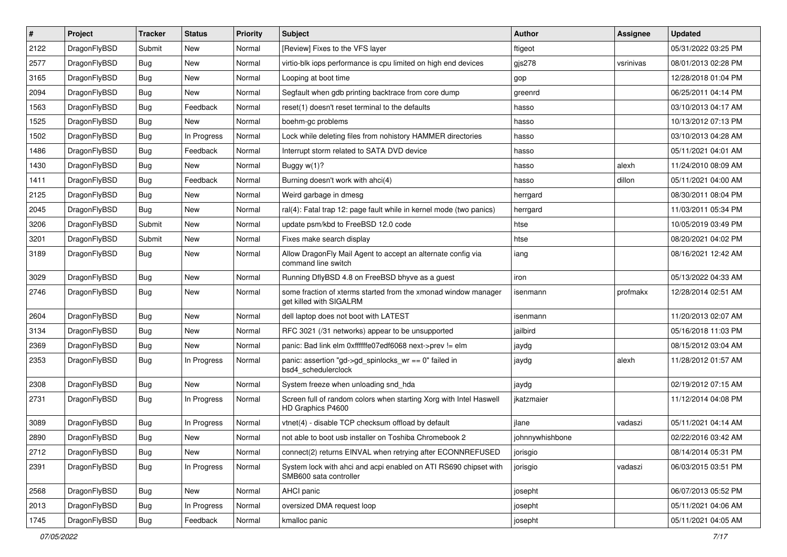| $\pmb{\#}$ | Project      | <b>Tracker</b> | <b>Status</b> | <b>Priority</b> | Subject                                                                                    | <b>Author</b>   | <b>Assignee</b> | <b>Updated</b>      |
|------------|--------------|----------------|---------------|-----------------|--------------------------------------------------------------------------------------------|-----------------|-----------------|---------------------|
| 2122       | DragonFlyBSD | Submit         | <b>New</b>    | Normal          | [Review] Fixes to the VFS layer                                                            | ftigeot         |                 | 05/31/2022 03:25 PM |
| 2577       | DragonFlyBSD | Bug            | <b>New</b>    | Normal          | virtio-blk iops performance is cpu limited on high end devices                             | gjs278          | vsrinivas       | 08/01/2013 02:28 PM |
| 3165       | DragonFlyBSD | Bug            | New           | Normal          | Looping at boot time                                                                       | gop             |                 | 12/28/2018 01:04 PM |
| 2094       | DragonFlyBSD | Bug            | <b>New</b>    | Normal          | Segfault when gdb printing backtrace from core dump                                        | greenrd         |                 | 06/25/2011 04:14 PM |
| 1563       | DragonFlyBSD | Bug            | Feedback      | Normal          | reset(1) doesn't reset terminal to the defaults                                            | hasso           |                 | 03/10/2013 04:17 AM |
| 1525       | DragonFlyBSD | Bug            | New           | Normal          | boehm-gc problems                                                                          | hasso           |                 | 10/13/2012 07:13 PM |
| 1502       | DragonFlyBSD | Bug            | In Progress   | Normal          | Lock while deleting files from nohistory HAMMER directories                                | hasso           |                 | 03/10/2013 04:28 AM |
| 1486       | DragonFlyBSD | Bug            | Feedback      | Normal          | Interrupt storm related to SATA DVD device                                                 | hasso           |                 | 05/11/2021 04:01 AM |
| 1430       | DragonFlyBSD | Bug            | <b>New</b>    | Normal          | Buggy $w(1)$ ?                                                                             | hasso           | alexh           | 11/24/2010 08:09 AM |
| 1411       | DragonFlyBSD | Bug            | Feedback      | Normal          | Burning doesn't work with ahci(4)                                                          | hasso           | dillon          | 05/11/2021 04:00 AM |
| 2125       | DragonFlyBSD | Bug            | <b>New</b>    | Normal          | Weird garbage in dmesg                                                                     | herrgard        |                 | 08/30/2011 08:04 PM |
| 2045       | DragonFlyBSD | Bug            | New           | Normal          | ral(4): Fatal trap 12: page fault while in kernel mode (two panics)                        | herrgard        |                 | 11/03/2011 05:34 PM |
| 3206       | DragonFlyBSD | Submit         | <b>New</b>    | Normal          | update psm/kbd to FreeBSD 12.0 code                                                        | htse            |                 | 10/05/2019 03:49 PM |
| 3201       | DragonFlyBSD | Submit         | New           | Normal          | Fixes make search display                                                                  | htse            |                 | 08/20/2021 04:02 PM |
| 3189       | DragonFlyBSD | <b>Bug</b>     | <b>New</b>    | Normal          | Allow DragonFly Mail Agent to accept an alternate config via<br>command line switch        | iang            |                 | 08/16/2021 12:42 AM |
| 3029       | DragonFlyBSD | Bug            | <b>New</b>    | Normal          | Running DflyBSD 4.8 on FreeBSD bhyve as a guest                                            | iron            |                 | 05/13/2022 04:33 AM |
| 2746       | DragonFlyBSD | Bug            | New           | Normal          | some fraction of xterms started from the xmonad window manager<br>get killed with SIGALRM  | isenmann        | profmakx        | 12/28/2014 02:51 AM |
| 2604       | DragonFlyBSD | Bug            | <b>New</b>    | Normal          | dell laptop does not boot with LATEST                                                      | isenmann        |                 | 11/20/2013 02:07 AM |
| 3134       | DragonFlyBSD | Bug            | <b>New</b>    | Normal          | RFC 3021 (/31 networks) appear to be unsupported                                           | jailbird        |                 | 05/16/2018 11:03 PM |
| 2369       | DragonFlyBSD | Bug            | <b>New</b>    | Normal          | panic: Bad link elm 0xffffffe07edf6068 next->prev != elm                                   | jaydg           |                 | 08/15/2012 03:04 AM |
| 2353       | DragonFlyBSD | Bug            | In Progress   | Normal          | panic: assertion "gd->gd_spinlocks_wr == 0" failed in<br>bsd4_schedulerclock               | jaydg           | alexh           | 11/28/2012 01:57 AM |
| 2308       | DragonFlyBSD | Bug            | New           | Normal          | System freeze when unloading snd_hda                                                       | jaydg           |                 | 02/19/2012 07:15 AM |
| 2731       | DragonFlyBSD | Bug            | In Progress   | Normal          | Screen full of random colors when starting Xorg with Intel Haswell<br>HD Graphics P4600    | jkatzmaier      |                 | 11/12/2014 04:08 PM |
| 3089       | DragonFlyBSD | Bug            | In Progress   | Normal          | vtnet(4) - disable TCP checksum offload by default                                         | jlane           | vadaszi         | 05/11/2021 04:14 AM |
| 2890       | DragonFlyBSD | Bug            | New           | Normal          | not able to boot usb installer on Toshiba Chromebook 2                                     | johnnywhishbone |                 | 02/22/2016 03:42 AM |
| 2712       | DragonFlyBSD | <b>Bug</b>     | New           | Normal          | connect(2) returns EINVAL when retrying after ECONNREFUSED                                 | jorisgio        |                 | 08/14/2014 05:31 PM |
| 2391       | DragonFlyBSD | <b>Bug</b>     | In Progress   | Normal          | System lock with ahci and acpi enabled on ATI RS690 chipset with<br>SMB600 sata controller | jorisgio        | vadaszi         | 06/03/2015 03:51 PM |
| 2568       | DragonFlyBSD | <b>Bug</b>     | New           | Normal          | AHCI panic                                                                                 | josepht         |                 | 06/07/2013 05:52 PM |
| 2013       | DragonFlyBSD | Bug            | In Progress   | Normal          | oversized DMA request loop                                                                 | josepht         |                 | 05/11/2021 04:06 AM |
| 1745       | DragonFlyBSD | Bug            | Feedback      | Normal          | kmalloc panic                                                                              | josepht         |                 | 05/11/2021 04:05 AM |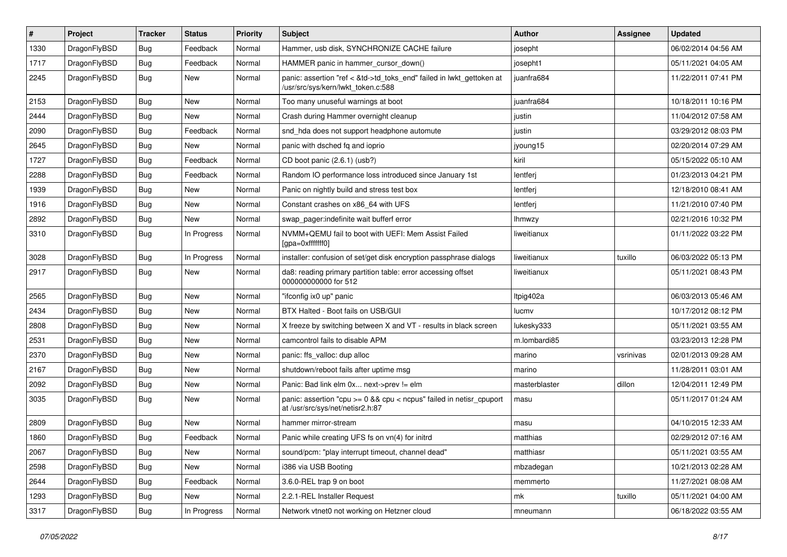| #    | Project      | <b>Tracker</b> | <b>Status</b> | <b>Priority</b> | Subject                                                                                                    | <b>Author</b> | Assignee  | <b>Updated</b>      |
|------|--------------|----------------|---------------|-----------------|------------------------------------------------------------------------------------------------------------|---------------|-----------|---------------------|
| 1330 | DragonFlyBSD | <b>Bug</b>     | Feedback      | Normal          | Hammer, usb disk, SYNCHRONIZE CACHE failure                                                                | josepht       |           | 06/02/2014 04:56 AM |
| 1717 | DragonFlyBSD | <b>Bug</b>     | Feedback      | Normal          | HAMMER panic in hammer_cursor_down()                                                                       | josepht1      |           | 05/11/2021 04:05 AM |
| 2245 | DragonFlyBSD | <b>Bug</b>     | New           | Normal          | panic: assertion "ref < &td->td_toks_end" failed in lwkt_gettoken at<br>/usr/src/sys/kern/lwkt_token.c:588 | iuanfra684    |           | 11/22/2011 07:41 PM |
| 2153 | DragonFlyBSD | Bug            | <b>New</b>    | Normal          | Too many unuseful warnings at boot                                                                         | juanfra684    |           | 10/18/2011 10:16 PM |
| 2444 | DragonFlyBSD | <b>Bug</b>     | New           | Normal          | Crash during Hammer overnight cleanup                                                                      | justin        |           | 11/04/2012 07:58 AM |
| 2090 | DragonFlyBSD | <b>Bug</b>     | Feedback      | Normal          | snd_hda does not support headphone automute                                                                | justin        |           | 03/29/2012 08:03 PM |
| 2645 | DragonFlyBSD | <b>Bug</b>     | New           | Normal          | panic with dsched fq and ioprio                                                                            | jyoung15      |           | 02/20/2014 07:29 AM |
| 1727 | DragonFlyBSD | <b>Bug</b>     | Feedback      | Normal          | CD boot panic (2.6.1) (usb?)                                                                               | kiril         |           | 05/15/2022 05:10 AM |
| 2288 | DragonFlyBSD | <b>Bug</b>     | Feedback      | Normal          | Random IO performance loss introduced since January 1st                                                    | lentferj      |           | 01/23/2013 04:21 PM |
| 1939 | DragonFlyBSD | <b>Bug</b>     | New           | Normal          | Panic on nightly build and stress test box                                                                 | lentferj      |           | 12/18/2010 08:41 AM |
| 1916 | DragonFlyBSD | <b>Bug</b>     | New           | Normal          | Constant crashes on x86_64 with UFS                                                                        | lentferj      |           | 11/21/2010 07:40 PM |
| 2892 | DragonFlyBSD | Bug            | <b>New</b>    | Normal          | swap_pager:indefinite wait bufferf error                                                                   | <b>Ihmwzy</b> |           | 02/21/2016 10:32 PM |
| 3310 | DragonFlyBSD | Bug            | In Progress   | Normal          | NVMM+QEMU fail to boot with UEFI: Mem Assist Failed<br>[gpa=0xfffffff0]                                    | liweitianux   |           | 01/11/2022 03:22 PM |
| 3028 | DragonFlyBSD | Bug            | In Progress   | Normal          | installer: confusion of set/get disk encryption passphrase dialogs                                         | liweitianux   | tuxillo   | 06/03/2022 05:13 PM |
| 2917 | DragonFlyBSD | Bug            | New           | Normal          | da8: reading primary partition table: error accessing offset<br>000000000000 for 512                       | liweitianux   |           | 05/11/2021 08:43 PM |
| 2565 | DragonFlyBSD | Bug            | <b>New</b>    | Normal          | "ifconfig ix0 up" panic                                                                                    | Itpig402a     |           | 06/03/2013 05:46 AM |
| 2434 | DragonFlyBSD | Bug            | New           | Normal          | BTX Halted - Boot fails on USB/GUI                                                                         | lucmv         |           | 10/17/2012 08:12 PM |
| 2808 | DragonFlyBSD | Bug            | New           | Normal          | X freeze by switching between X and VT - results in black screen                                           | lukesky333    |           | 05/11/2021 03:55 AM |
| 2531 | DragonFlyBSD | Bug            | New           | Normal          | camcontrol fails to disable APM                                                                            | m.lombardi85  |           | 03/23/2013 12:28 PM |
| 2370 | DragonFlyBSD | Bug            | <b>New</b>    | Normal          | panic: ffs valloc: dup alloc                                                                               | marino        | vsrinivas | 02/01/2013 09:28 AM |
| 2167 | DragonFlyBSD | Bug            | New           | Normal          | shutdown/reboot fails after uptime msg                                                                     | marino        |           | 11/28/2011 03:01 AM |
| 2092 | DragonFlyBSD | Bug            | New           | Normal          | Panic: Bad link elm 0x next->prev != elm                                                                   | masterblaster | dillon    | 12/04/2011 12:49 PM |
| 3035 | DragonFlyBSD | Bug            | New           | Normal          | panic: assertion "cpu >= 0 && cpu < ncpus" failed in netisr_cpuport<br>at /usr/src/sys/net/netisr2.h:87    | masu          |           | 05/11/2017 01:24 AM |
| 2809 | DragonFlyBSD | Bug            | <b>New</b>    | Normal          | hammer mirror-stream                                                                                       | masu          |           | 04/10/2015 12:33 AM |
| 1860 | DragonFlyBSD | Bug            | Feedback      | Normal          | Panic while creating UFS fs on vn(4) for initrd                                                            | matthias      |           | 02/29/2012 07:16 AM |
| 2067 | DragonFlyBSD | <b>Bug</b>     | New           | Normal          | sound/pcm: "play interrupt timeout, channel dead"                                                          | matthiasr     |           | 05/11/2021 03:55 AM |
| 2598 | DragonFlyBSD | <b>Bug</b>     | New           | Normal          | i386 via USB Booting                                                                                       | mbzadegan     |           | 10/21/2013 02:28 AM |
| 2644 | DragonFlyBSD | <b>Bug</b>     | Feedback      | Normal          | 3.6.0-REL trap 9 on boot                                                                                   | memmerto      |           | 11/27/2021 08:08 AM |
| 1293 | DragonFlyBSD | <b>Bug</b>     | New           | Normal          | 2.2.1-REL Installer Request                                                                                | mk            | tuxillo   | 05/11/2021 04:00 AM |
| 3317 | DragonFlyBSD | <b>Bug</b>     | In Progress   | Normal          | Network vtnet0 not working on Hetzner cloud                                                                | mneumann      |           | 06/18/2022 03:55 AM |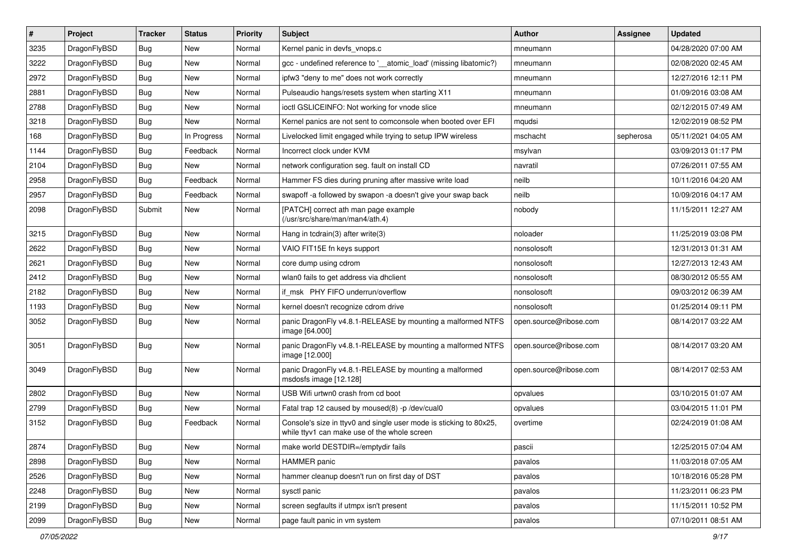| $\vert$ # | Project      | <b>Tracker</b> | <b>Status</b> | <b>Priority</b> | Subject                                                                                                            | <b>Author</b>          | <b>Assignee</b> | <b>Updated</b>      |
|-----------|--------------|----------------|---------------|-----------------|--------------------------------------------------------------------------------------------------------------------|------------------------|-----------------|---------------------|
| 3235      | DragonFlyBSD | Bug            | New           | Normal          | Kernel panic in devfs vnops.c                                                                                      | mneumann               |                 | 04/28/2020 07:00 AM |
| 3222      | DragonFlyBSD | Bug            | <b>New</b>    | Normal          | gcc - undefined reference to '__atomic_load' (missing libatomic?)                                                  | mneumann               |                 | 02/08/2020 02:45 AM |
| 2972      | DragonFlyBSD | <b>Bug</b>     | New           | Normal          | ipfw3 "deny to me" does not work correctly                                                                         | mneumann               |                 | 12/27/2016 12:11 PM |
| 2881      | DragonFlyBSD | <b>Bug</b>     | New           | Normal          | Pulseaudio hangs/resets system when starting X11                                                                   | mneumann               |                 | 01/09/2016 03:08 AM |
| 2788      | DragonFlyBSD | Bug            | <b>New</b>    | Normal          | ioctl GSLICEINFO: Not working for vnode slice                                                                      | mneumann               |                 | 02/12/2015 07:49 AM |
| 3218      | DragonFlyBSD | <b>Bug</b>     | New           | Normal          | Kernel panics are not sent to comconsole when booted over EFI                                                      | mqudsi                 |                 | 12/02/2019 08:52 PM |
| 168       | DragonFlyBSD | <b>Bug</b>     | In Progress   | Normal          | Livelocked limit engaged while trying to setup IPW wireless                                                        | mschacht               | sepherosa       | 05/11/2021 04:05 AM |
| 1144      | DragonFlyBSD | <b>Bug</b>     | Feedback      | Normal          | Incorrect clock under KVM                                                                                          | msylvan                |                 | 03/09/2013 01:17 PM |
| 2104      | DragonFlyBSD | <b>Bug</b>     | New           | Normal          | network configuration seg. fault on install CD                                                                     | navratil               |                 | 07/26/2011 07:55 AM |
| 2958      | DragonFlyBSD | Bug            | Feedback      | Normal          | Hammer FS dies during pruning after massive write load                                                             | neilb                  |                 | 10/11/2016 04:20 AM |
| 2957      | DragonFlyBSD | <b>Bug</b>     | Feedback      | Normal          | swapoff -a followed by swapon -a doesn't give your swap back                                                       | neilb                  |                 | 10/09/2016 04:17 AM |
| 2098      | DragonFlyBSD | Submit         | <b>New</b>    | Normal          | [PATCH] correct ath man page example<br>(/usr/src/share/man/man4/ath.4)                                            | nobody                 |                 | 11/15/2011 12:27 AM |
| 3215      | DragonFlyBSD | <b>Bug</b>     | New           | Normal          | Hang in tcdrain(3) after write(3)                                                                                  | noloader               |                 | 11/25/2019 03:08 PM |
| 2622      | DragonFlyBSD | <b>Bug</b>     | <b>New</b>    | Normal          | VAIO FIT15E fn keys support                                                                                        | nonsolosoft            |                 | 12/31/2013 01:31 AM |
| 2621      | DragonFlyBSD | <b>Bug</b>     | <b>New</b>    | Normal          | core dump using cdrom                                                                                              | nonsolosoft            |                 | 12/27/2013 12:43 AM |
| 2412      | DragonFlyBSD | <b>Bug</b>     | New           | Normal          | wlan0 fails to get address via dhclient                                                                            | nonsolosoft            |                 | 08/30/2012 05:55 AM |
| 2182      | DragonFlyBSD | Bug            | <b>New</b>    | Normal          | if msk PHY FIFO underrun/overflow                                                                                  | nonsolosoft            |                 | 09/03/2012 06:39 AM |
| 1193      | DragonFlyBSD | <b>Bug</b>     | New           | Normal          | kernel doesn't recognize cdrom drive                                                                               | nonsolosoft            |                 | 01/25/2014 09:11 PM |
| 3052      | DragonFlyBSD | <b>Bug</b>     | <b>New</b>    | Normal          | panic DragonFly v4.8.1-RELEASE by mounting a malformed NTFS<br>image [64.000]                                      | open.source@ribose.com |                 | 08/14/2017 03:22 AM |
| 3051      | DragonFlyBSD | Bug            | New           | Normal          | panic DragonFly v4.8.1-RELEASE by mounting a malformed NTFS<br>image [12.000]                                      | open.source@ribose.com |                 | 08/14/2017 03:20 AM |
| 3049      | DragonFlyBSD | Bug            | <b>New</b>    | Normal          | panic DragonFly v4.8.1-RELEASE by mounting a malformed<br>msdosfs image [12.128]                                   | open.source@ribose.com |                 | 08/14/2017 02:53 AM |
| 2802      | DragonFlyBSD | Bug            | New           | Normal          | USB Wifi urtwn0 crash from cd boot                                                                                 | opvalues               |                 | 03/10/2015 01:07 AM |
| 2799      | DragonFlyBSD | <b>Bug</b>     | New           | Normal          | Fatal trap 12 caused by moused(8) -p/dev/cual0                                                                     | opvalues               |                 | 03/04/2015 11:01 PM |
| 3152      | DragonFlyBSD | Bug            | Feedback      | Normal          | Console's size in ttyv0 and single user mode is sticking to 80x25,<br>while ttyv1 can make use of the whole screen | overtime               |                 | 02/24/2019 01:08 AM |
| 2874      | DragonFlyBSD | <b>Bug</b>     | <b>New</b>    | Normal          | make world DESTDIR=/emptydir fails                                                                                 | pascii                 |                 | 12/25/2015 07:04 AM |
| 2898      | DragonFlyBSD | <b>Bug</b>     | <b>New</b>    | Normal          | HAMMER panic                                                                                                       | pavalos                |                 | 11/03/2018 07:05 AM |
| 2526      | DragonFlyBSD | <b>Bug</b>     | New           | Normal          | hammer cleanup doesn't run on first day of DST                                                                     | pavalos                |                 | 10/18/2016 05:28 PM |
| 2248      | DragonFlyBSD | <b>Bug</b>     | New           | Normal          | sysctl panic                                                                                                       | pavalos                |                 | 11/23/2011 06:23 PM |
| 2199      | DragonFlyBSD | <b>Bug</b>     | <b>New</b>    | Normal          | screen segfaults if utmpx isn't present                                                                            | pavalos                |                 | 11/15/2011 10:52 PM |
| 2099      | DragonFlyBSD | <b>Bug</b>     | New           | Normal          | page fault panic in vm system                                                                                      | pavalos                |                 | 07/10/2011 08:51 AM |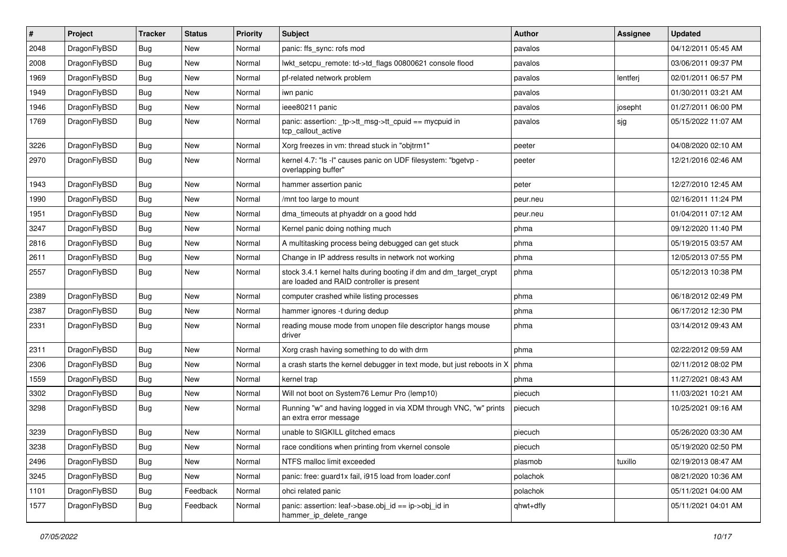| #    | Project      | <b>Tracker</b> | <b>Status</b> | <b>Priority</b> | <b>Subject</b>                                                                                                 | Author    | Assignee | <b>Updated</b>      |
|------|--------------|----------------|---------------|-----------------|----------------------------------------------------------------------------------------------------------------|-----------|----------|---------------------|
| 2048 | DragonFlyBSD | <b>Bug</b>     | <b>New</b>    | Normal          | panic: ffs_sync: rofs mod                                                                                      | pavalos   |          | 04/12/2011 05:45 AM |
| 2008 | DragonFlyBSD | Bug            | <b>New</b>    | Normal          | lwkt_setcpu_remote: td->td_flags 00800621 console flood                                                        | pavalos   |          | 03/06/2011 09:37 PM |
| 1969 | DragonFlyBSD | <b>Bug</b>     | <b>New</b>    | Normal          | pf-related network problem                                                                                     | pavalos   | lentferj | 02/01/2011 06:57 PM |
| 1949 | DragonFlyBSD | <b>Bug</b>     | New           | Normal          | iwn panic                                                                                                      | pavalos   |          | 01/30/2011 03:21 AM |
| 1946 | DragonFlyBSD | <b>Bug</b>     | <b>New</b>    | Normal          | ieee80211 panic                                                                                                | pavalos   | josepht  | 01/27/2011 06:00 PM |
| 1769 | DragonFlyBSD | Bug            | New           | Normal          | panic: assertion: tp->tt_msg->tt_cpuid == mycpuid in<br>tcp_callout_active                                     | pavalos   | sjg      | 05/15/2022 11:07 AM |
| 3226 | DragonFlyBSD | Bug            | New           | Normal          | Xorg freezes in vm: thread stuck in "objtrm1"                                                                  | peeter    |          | 04/08/2020 02:10 AM |
| 2970 | DragonFlyBSD | Bug            | <b>New</b>    | Normal          | kernel 4.7: "Is -I" causes panic on UDF filesystem: "bgetvp -<br>overlapping buffer"                           | peeter    |          | 12/21/2016 02:46 AM |
| 1943 | DragonFlyBSD | <b>Bug</b>     | <b>New</b>    | Normal          | hammer assertion panic                                                                                         | peter     |          | 12/27/2010 12:45 AM |
| 1990 | DragonFlyBSD | Bug            | New           | Normal          | /mnt too large to mount                                                                                        | peur.neu  |          | 02/16/2011 11:24 PM |
| 1951 | DragonFlyBSD | <b>Bug</b>     | <b>New</b>    | Normal          | dma_timeouts at phyaddr on a good hdd                                                                          | peur.neu  |          | 01/04/2011 07:12 AM |
| 3247 | DragonFlyBSD | <b>Bug</b>     | New           | Normal          | Kernel panic doing nothing much                                                                                | phma      |          | 09/12/2020 11:40 PM |
| 2816 | DragonFlyBSD | Bug            | <b>New</b>    | Normal          | A multitasking process being debugged can get stuck                                                            | phma      |          | 05/19/2015 03:57 AM |
| 2611 | DragonFlyBSD | <b>Bug</b>     | New           | Normal          | Change in IP address results in network not working                                                            | phma      |          | 12/05/2013 07:55 PM |
| 2557 | DragonFlyBSD | <b>Bug</b>     | <b>New</b>    | Normal          | stock 3.4.1 kernel halts during booting if dm and dm_target_crypt<br>are loaded and RAID controller is present | phma      |          | 05/12/2013 10:38 PM |
| 2389 | DragonFlyBSD | <b>Bug</b>     | <b>New</b>    | Normal          | computer crashed while listing processes                                                                       | phma      |          | 06/18/2012 02:49 PM |
| 2387 | DragonFlyBSD | Bug            | New           | Normal          | hammer ignores -t during dedup                                                                                 | phma      |          | 06/17/2012 12:30 PM |
| 2331 | DragonFlyBSD | <b>Bug</b>     | New           | Normal          | reading mouse mode from unopen file descriptor hangs mouse<br>driver                                           | phma      |          | 03/14/2012 09:43 AM |
| 2311 | DragonFlyBSD | Bug            | <b>New</b>    | Normal          | Xorg crash having something to do with drm                                                                     | phma      |          | 02/22/2012 09:59 AM |
| 2306 | DragonFlyBSD | <b>Bug</b>     | New           | Normal          | a crash starts the kernel debugger in text mode, but just reboots in X                                         | phma      |          | 02/11/2012 08:02 PM |
| 1559 | DragonFlyBSD | Bug            | <b>New</b>    | Normal          | kernel trap                                                                                                    | phma      |          | 11/27/2021 08:43 AM |
| 3302 | DragonFlyBSD | <b>Bug</b>     | <b>New</b>    | Normal          | Will not boot on System76 Lemur Pro (lemp10)                                                                   | piecuch   |          | 11/03/2021 10:21 AM |
| 3298 | DragonFlyBSD | Bug            | <b>New</b>    | Normal          | Running "w" and having logged in via XDM through VNC, "w" prints<br>an extra error message                     | piecuch   |          | 10/25/2021 09:16 AM |
| 3239 | DragonFlyBSD | Bug            | <b>New</b>    | Normal          | unable to SIGKILL glitched emacs                                                                               | piecuch   |          | 05/26/2020 03:30 AM |
| 3238 | DragonFlyBSD | <b>Bug</b>     | New           | Normal          | race conditions when printing from vkernel console                                                             | piecuch   |          | 05/19/2020 02:50 PM |
| 2496 | DragonFlyBSD | <b>Bug</b>     | <b>New</b>    | Normal          | NTFS malloc limit exceeded                                                                                     | plasmob   | tuxillo  | 02/19/2013 08:47 AM |
| 3245 | DragonFlyBSD | <b>Bug</b>     | New           | Normal          | panic: free: guard1x fail, i915 load from loader.conf                                                          | polachok  |          | 08/21/2020 10:36 AM |
| 1101 | DragonFlyBSD | <b>Bug</b>     | Feedback      | Normal          | ohci related panic                                                                                             | polachok  |          | 05/11/2021 04:00 AM |
| 1577 | DragonFlyBSD | Bug            | Feedback      | Normal          | panic: assertion: leaf->base.obj_id == ip->obj_id in<br>hammer_ip_delete_range                                 | qhwt+dfly |          | 05/11/2021 04:01 AM |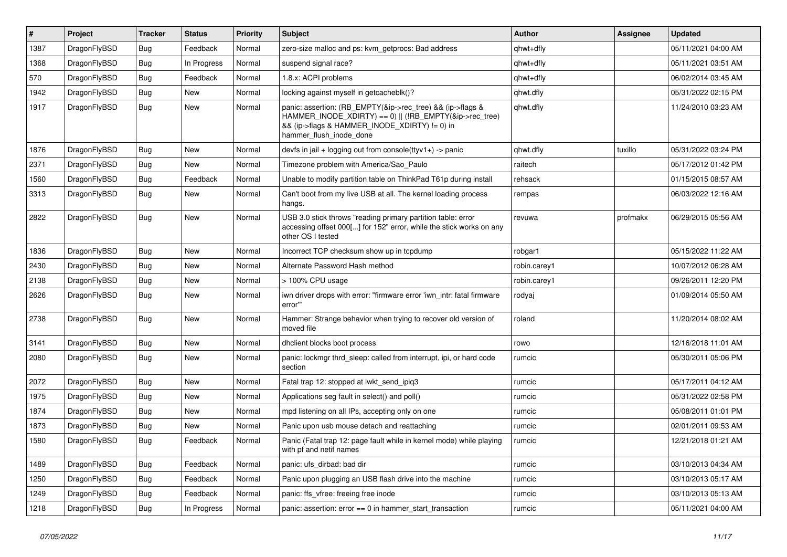| #    | Project      | <b>Tracker</b> | <b>Status</b> | <b>Priority</b> | Subject                                                                                                                                                                                           | <b>Author</b> | Assignee | <b>Updated</b>      |
|------|--------------|----------------|---------------|-----------------|---------------------------------------------------------------------------------------------------------------------------------------------------------------------------------------------------|---------------|----------|---------------------|
| 1387 | DragonFlyBSD | <b>Bug</b>     | Feedback      | Normal          | zero-size malloc and ps: kvm_getprocs: Bad address                                                                                                                                                | qhwt+dfly     |          | 05/11/2021 04:00 AM |
| 1368 | DragonFlyBSD | <b>Bug</b>     | In Progress   | Normal          | suspend signal race?                                                                                                                                                                              | qhwt+dfly     |          | 05/11/2021 03:51 AM |
| 570  | DragonFlyBSD | <b>Bug</b>     | Feedback      | Normal          | 1.8.x: ACPI problems                                                                                                                                                                              | qhwt+dfly     |          | 06/02/2014 03:45 AM |
| 1942 | DragonFlyBSD | <b>Bug</b>     | <b>New</b>    | Normal          | locking against myself in getcacheblk()?                                                                                                                                                          | qhwt.dfly     |          | 05/31/2022 02:15 PM |
| 1917 | DragonFlyBSD | Bug            | New           | Normal          | panic: assertion: (RB_EMPTY(&ip->rec_tree) && (ip->flags &<br>HAMMER_INODE_XDIRTY) == 0)    (!RB_EMPTY(&ip->rec_tree)<br>&& (ip->flags & HAMMER_INODE_XDIRTY) != 0) in<br>hammer flush inode done | qhwt.dfly     |          | 11/24/2010 03:23 AM |
| 1876 | DragonFlyBSD | <b>Bug</b>     | New           | Normal          | devfs in jail + logging out from console(ttyv1+) -> panic                                                                                                                                         | qhwt.dfly     | tuxillo  | 05/31/2022 03:24 PM |
| 2371 | DragonFlyBSD | <b>Bug</b>     | New           | Normal          | Timezone problem with America/Sao_Paulo                                                                                                                                                           | raitech       |          | 05/17/2012 01:42 PM |
| 1560 | DragonFlyBSD | <b>Bug</b>     | Feedback      | Normal          | Unable to modify partition table on ThinkPad T61p during install                                                                                                                                  | rehsack       |          | 01/15/2015 08:57 AM |
| 3313 | DragonFlyBSD | Bug            | New           | Normal          | Can't boot from my live USB at all. The kernel loading process<br>hangs.                                                                                                                          | rempas        |          | 06/03/2022 12:16 AM |
| 2822 | DragonFlyBSD | <b>Bug</b>     | New           | Normal          | USB 3.0 stick throws "reading primary partition table: error<br>accessing offset 000[] for 152" error, while the stick works on any<br>other OS I tested                                          | revuwa        | profmakx | 06/29/2015 05:56 AM |
| 1836 | DragonFlyBSD | <b>Bug</b>     | New           | Normal          | Incorrect TCP checksum show up in tcpdump                                                                                                                                                         | robgar1       |          | 05/15/2022 11:22 AM |
| 2430 | DragonFlyBSD | <b>Bug</b>     | <b>New</b>    | Normal          | Alternate Password Hash method                                                                                                                                                                    | robin.carey1  |          | 10/07/2012 06:28 AM |
| 2138 | DragonFlyBSD | <b>Bug</b>     | New           | Normal          | > 100% CPU usage                                                                                                                                                                                  | robin.carey1  |          | 09/26/2011 12:20 PM |
| 2626 | DragonFlyBSD | Bug            | New           | Normal          | iwn driver drops with error: "firmware error 'iwn intr: fatal firmware<br>error"                                                                                                                  | rodyaj        |          | 01/09/2014 05:50 AM |
| 2738 | DragonFlyBSD | Bug            | New           | Normal          | Hammer: Strange behavior when trying to recover old version of<br>moved file                                                                                                                      | roland        |          | 11/20/2014 08:02 AM |
| 3141 | DragonFlyBSD | <b>Bug</b>     | New           | Normal          | dhclient blocks boot process                                                                                                                                                                      | rowo          |          | 12/16/2018 11:01 AM |
| 2080 | DragonFlyBSD | <b>Bug</b>     | New           | Normal          | panic: lockmgr thrd sleep: called from interrupt, ipi, or hard code<br>section                                                                                                                    | rumcic        |          | 05/30/2011 05:06 PM |
| 2072 | DragonFlyBSD | <b>Bug</b>     | New           | Normal          | Fatal trap 12: stopped at lwkt send ipig3                                                                                                                                                         | rumcic        |          | 05/17/2011 04:12 AM |
| 1975 | DragonFlyBSD | <b>Bug</b>     | New           | Normal          | Applications seg fault in select() and poll()                                                                                                                                                     | rumcic        |          | 05/31/2022 02:58 PM |
| 1874 | DragonFlyBSD | <b>Bug</b>     | New           | Normal          | mpd listening on all IPs, accepting only on one                                                                                                                                                   | rumcic        |          | 05/08/2011 01:01 PM |
| 1873 | DragonFlyBSD | Bug            | New           | Normal          | Panic upon usb mouse detach and reattaching                                                                                                                                                       | rumcic        |          | 02/01/2011 09:53 AM |
| 1580 | DragonFlyBSD | Bug            | Feedback      | Normal          | Panic (Fatal trap 12: page fault while in kernel mode) while playing<br>with pf and netif names                                                                                                   | rumcic        |          | 12/21/2018 01:21 AM |
| 1489 | DragonFlyBSD | Bug            | Feedback      | Normal          | panic: ufs_dirbad: bad dir                                                                                                                                                                        | rumcic        |          | 03/10/2013 04:34 AM |
| 1250 | DragonFlyBSD | <b>Bug</b>     | Feedback      | Normal          | Panic upon plugging an USB flash drive into the machine                                                                                                                                           | rumcic        |          | 03/10/2013 05:17 AM |
| 1249 | DragonFlyBSD | <b>Bug</b>     | Feedback      | Normal          | panic: ffs vfree: freeing free inode                                                                                                                                                              | rumcic        |          | 03/10/2013 05:13 AM |
| 1218 | DragonFlyBSD | <b>Bug</b>     | In Progress   | Normal          | panic: assertion: error == 0 in hammer_start_transaction                                                                                                                                          | rumcic        |          | 05/11/2021 04:00 AM |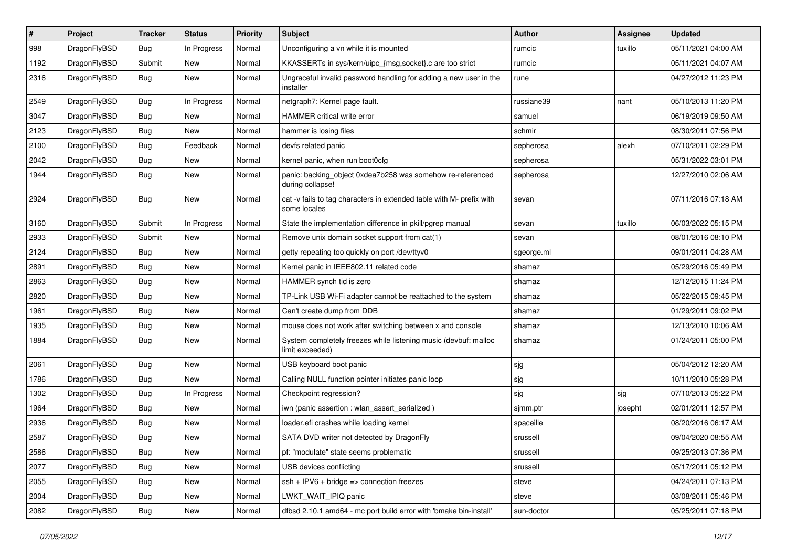| $\sharp$ | Project      | <b>Tracker</b> | <b>Status</b> | <b>Priority</b> | Subject                                                                              | Author     | Assignee | <b>Updated</b>      |
|----------|--------------|----------------|---------------|-----------------|--------------------------------------------------------------------------------------|------------|----------|---------------------|
| 998      | DragonFlyBSD | Bug            | In Progress   | Normal          | Unconfiguring a vn while it is mounted                                               | rumcic     | tuxillo  | 05/11/2021 04:00 AM |
| 1192     | DragonFlyBSD | Submit         | <b>New</b>    | Normal          | KKASSERTs in sys/kern/uipc_{msg,socket}.c are too strict                             | rumcic     |          | 05/11/2021 04:07 AM |
| 2316     | DragonFlyBSD | Bug            | New           | Normal          | Ungraceful invalid password handling for adding a new user in the<br>installer       | rune       |          | 04/27/2012 11:23 PM |
| 2549     | DragonFlyBSD | Bug            | In Progress   | Normal          | netgraph7: Kernel page fault.                                                        | russiane39 | nant     | 05/10/2013 11:20 PM |
| 3047     | DragonFlyBSD | Bug            | New           | Normal          | HAMMER critical write error                                                          | samuel     |          | 06/19/2019 09:50 AM |
| 2123     | DragonFlyBSD | Bug            | New           | Normal          | hammer is losing files                                                               | schmir     |          | 08/30/2011 07:56 PM |
| 2100     | DragonFlyBSD | Bug            | Feedback      | Normal          | devfs related panic                                                                  | sepherosa  | alexh    | 07/10/2011 02:29 PM |
| 2042     | DragonFlyBSD | Bug            | New           | Normal          | kernel panic, when run boot0cfg                                                      | sepherosa  |          | 05/31/2022 03:01 PM |
| 1944     | DragonFlyBSD | <b>Bug</b>     | New           | Normal          | panic: backing_object 0xdea7b258 was somehow re-referenced<br>during collapse!       | sepherosa  |          | 12/27/2010 02:06 AM |
| 2924     | DragonFlyBSD | Bug            | New           | Normal          | cat -v fails to tag characters in extended table with M- prefix with<br>some locales | sevan      |          | 07/11/2016 07:18 AM |
| 3160     | DragonFlyBSD | Submit         | In Progress   | Normal          | State the implementation difference in pkill/pgrep manual                            | sevan      | tuxillo  | 06/03/2022 05:15 PM |
| 2933     | DragonFlyBSD | Submit         | New           | Normal          | Remove unix domain socket support from cat(1)                                        | sevan      |          | 08/01/2016 08:10 PM |
| 2124     | DragonFlyBSD | <b>Bug</b>     | New           | Normal          | getty repeating too quickly on port /dev/ttyv0                                       | sgeorge.ml |          | 09/01/2011 04:28 AM |
| 2891     | DragonFlyBSD | Bug            | New           | Normal          | Kernel panic in IEEE802.11 related code                                              | shamaz     |          | 05/29/2016 05:49 PM |
| 2863     | DragonFlyBSD | Bug            | <b>New</b>    | Normal          | HAMMER synch tid is zero                                                             | shamaz     |          | 12/12/2015 11:24 PM |
| 2820     | DragonFlyBSD | Bug            | New           | Normal          | TP-Link USB Wi-Fi adapter cannot be reattached to the system                         | shamaz     |          | 05/22/2015 09:45 PM |
| 1961     | DragonFlyBSD | Bug            | <b>New</b>    | Normal          | Can't create dump from DDB                                                           | shamaz     |          | 01/29/2011 09:02 PM |
| 1935     | DragonFlyBSD | Bug            | New           | Normal          | mouse does not work after switching between x and console                            | shamaz     |          | 12/13/2010 10:06 AM |
| 1884     | DragonFlyBSD | <b>Bug</b>     | New           | Normal          | System completely freezes while listening music (devbuf: malloc<br>limit exceeded)   | shamaz     |          | 01/24/2011 05:00 PM |
| 2061     | DragonFlyBSD | Bug            | <b>New</b>    | Normal          | USB keyboard boot panic                                                              | sjg        |          | 05/04/2012 12:20 AM |
| 1786     | DragonFlyBSD | <b>Bug</b>     | New           | Normal          | Calling NULL function pointer initiates panic loop                                   | sjg        |          | 10/11/2010 05:28 PM |
| 1302     | DragonFlyBSD | Bug            | In Progress   | Normal          | Checkpoint regression?                                                               | sjg        | sjg      | 07/10/2013 05:22 PM |
| 1964     | DragonFlyBSD | <b>Bug</b>     | <b>New</b>    | Normal          | iwn (panic assertion : wlan assert serialized)                                       | sjmm.ptr   | josepht  | 02/01/2011 12:57 PM |
| 2936     | DragonFlyBSD | <b>Bug</b>     | <b>New</b>    | Normal          | loader.efi crashes while loading kernel                                              | spaceille  |          | 08/20/2016 06:17 AM |
| 2587     | DragonFlyBSD | Bug            | New           | Normal          | SATA DVD writer not detected by DragonFly                                            | srussell   |          | 09/04/2020 08:55 AM |
| 2586     | DragonFlyBSD | <b>Bug</b>     | New           | Normal          | pf: "modulate" state seems problematic                                               | srussell   |          | 09/25/2013 07:36 PM |
| 2077     | DragonFlyBSD | <b>Bug</b>     | <b>New</b>    | Normal          | USB devices conflicting                                                              | srussell   |          | 05/17/2011 05:12 PM |
| 2055     | DragonFlyBSD | <b>Bug</b>     | New           | Normal          | $ssh + IPV6 + bridge \Rightarrow$ connection freezes                                 | steve      |          | 04/24/2011 07:13 PM |
| 2004     | DragonFlyBSD | <b>Bug</b>     | New           | Normal          | LWKT_WAIT_IPIQ panic                                                                 | steve      |          | 03/08/2011 05:46 PM |
| 2082     | DragonFlyBSD | <b>Bug</b>     | New           | Normal          | dfbsd 2.10.1 amd64 - mc port build error with 'bmake bin-install'                    | sun-doctor |          | 05/25/2011 07:18 PM |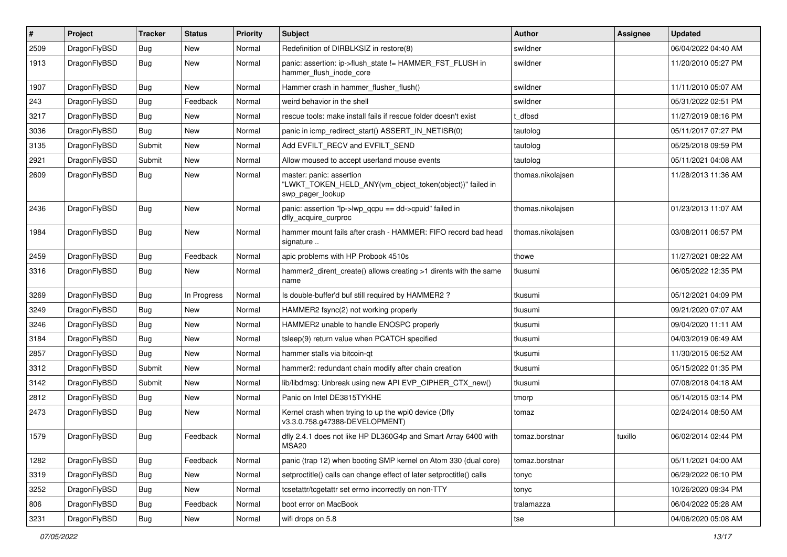| $\vert$ # | Project      | <b>Tracker</b> | <b>Status</b> | <b>Priority</b> | Subject                                                                                                  | Author            | Assignee | <b>Updated</b>      |
|-----------|--------------|----------------|---------------|-----------------|----------------------------------------------------------------------------------------------------------|-------------------|----------|---------------------|
| 2509      | DragonFlyBSD | <b>Bug</b>     | New           | Normal          | Redefinition of DIRBLKSIZ in restore(8)                                                                  | swildner          |          | 06/04/2022 04:40 AM |
| 1913      | DragonFlyBSD | Bug            | New           | Normal          | panic: assertion: ip->flush_state != HAMMER_FST_FLUSH in<br>hammer flush inode core                      | swildner          |          | 11/20/2010 05:27 PM |
| 1907      | DragonFlyBSD | Bug            | New           | Normal          | Hammer crash in hammer flusher flush()                                                                   | swildner          |          | 11/11/2010 05:07 AM |
| 243       | DragonFlyBSD | <b>Bug</b>     | Feedback      | Normal          | weird behavior in the shell                                                                              | swildner          |          | 05/31/2022 02:51 PM |
| 3217      | DragonFlyBSD | <b>Bug</b>     | New           | Normal          | rescue tools: make install fails if rescue folder doesn't exist                                          | t dfbsd           |          | 11/27/2019 08:16 PM |
| 3036      | DragonFlyBSD | Bug            | <b>New</b>    | Normal          | panic in icmp redirect start() ASSERT IN NETISR(0)                                                       | tautolog          |          | 05/11/2017 07:27 PM |
| 3135      | DragonFlyBSD | Submit         | New           | Normal          | Add EVFILT_RECV and EVFILT_SEND                                                                          | tautolog          |          | 05/25/2018 09:59 PM |
| 2921      | DragonFlyBSD | Submit         | New           | Normal          | Allow moused to accept userland mouse events                                                             | tautolog          |          | 05/11/2021 04:08 AM |
| 2609      | DragonFlyBSD | <b>Bug</b>     | New           | Normal          | master: panic: assertion<br>"LWKT_TOKEN_HELD_ANY(vm_object_token(object))" failed in<br>swp_pager_lookup | thomas.nikolajsen |          | 11/28/2013 11:36 AM |
| 2436      | DragonFlyBSD | Bug            | New           | Normal          | panic: assertion "lp->lwp_qcpu == dd->cpuid" failed in<br>dfly_acquire_curproc                           | thomas.nikolajsen |          | 01/23/2013 11:07 AM |
| 1984      | DragonFlyBSD | Bug            | New           | Normal          | hammer mount fails after crash - HAMMER: FIFO record bad head<br>signature                               | thomas.nikolajsen |          | 03/08/2011 06:57 PM |
| 2459      | DragonFlyBSD | <b>Bug</b>     | Feedback      | Normal          | apic problems with HP Probook 4510s                                                                      | thowe             |          | 11/27/2021 08:22 AM |
| 3316      | DragonFlyBSD | Bug            | New           | Normal          | hammer2_dirent_create() allows creating >1 dirents with the same<br>name                                 | tkusumi           |          | 06/05/2022 12:35 PM |
| 3269      | DragonFlyBSD | Bug            | In Progress   | Normal          | Is double-buffer'd buf still required by HAMMER2?                                                        | tkusumi           |          | 05/12/2021 04:09 PM |
| 3249      | DragonFlyBSD | Bug            | <b>New</b>    | Normal          | HAMMER2 fsync(2) not working properly                                                                    | tkusumi           |          | 09/21/2020 07:07 AM |
| 3246      | DragonFlyBSD | <b>Bug</b>     | New           | Normal          | HAMMER2 unable to handle ENOSPC properly                                                                 | tkusumi           |          | 09/04/2020 11:11 AM |
| 3184      | DragonFlyBSD | Bug            | <b>New</b>    | Normal          | tsleep(9) return value when PCATCH specified                                                             | tkusumi           |          | 04/03/2019 06:49 AM |
| 2857      | DragonFlyBSD | Bug            | New           | Normal          | hammer stalls via bitcoin-qt                                                                             | tkusumi           |          | 11/30/2015 06:52 AM |
| 3312      | DragonFlyBSD | Submit         | New           | Normal          | hammer2: redundant chain modify after chain creation                                                     | tkusumi           |          | 05/15/2022 01:35 PM |
| 3142      | DragonFlyBSD | Submit         | New           | Normal          | lib/libdmsg: Unbreak using new API EVP_CIPHER_CTX_new()                                                  | tkusumi           |          | 07/08/2018 04:18 AM |
| 2812      | DragonFlyBSD | <b>Bug</b>     | New           | Normal          | Panic on Intel DE3815TYKHE                                                                               | tmorp             |          | 05/14/2015 03:14 PM |
| 2473      | DragonFlyBSD | Bug            | New           | Normal          | Kernel crash when trying to up the wpi0 device (Dfly<br>v3.3.0.758.g47388-DEVELOPMENT)                   | tomaz             |          | 02/24/2014 08:50 AM |
| 1579      | DragonFlyBSD | <b>Bug</b>     | Feedback      | Normal          | dfly 2.4.1 does not like HP DL360G4p and Smart Array 6400 with<br><b>MSA20</b>                           | tomaz.borstnar    | tuxillo  | 06/02/2014 02:44 PM |
| 1282      | DragonFlyBSD | Bug            | Feedback      | Normal          | panic (trap 12) when booting SMP kernel on Atom 330 (dual core)                                          | tomaz.borstnar    |          | 05/11/2021 04:00 AM |
| 3319      | DragonFlyBSD | <b>Bug</b>     | New           | Normal          | setproctitle() calls can change effect of later setproctitle() calls                                     | tonyc             |          | 06/29/2022 06:10 PM |
| 3252      | DragonFlyBSD | Bug            | New           | Normal          | tcsetattr/tcgetattr set errno incorrectly on non-TTY                                                     | tonyc             |          | 10/26/2020 09:34 PM |
| 806       | DragonFlyBSD | <b>Bug</b>     | Feedback      | Normal          | boot error on MacBook                                                                                    | tralamazza        |          | 06/04/2022 05:28 AM |
| 3231      | DragonFlyBSD | Bug            | New           | Normal          | wifi drops on 5.8                                                                                        | tse               |          | 04/06/2020 05:08 AM |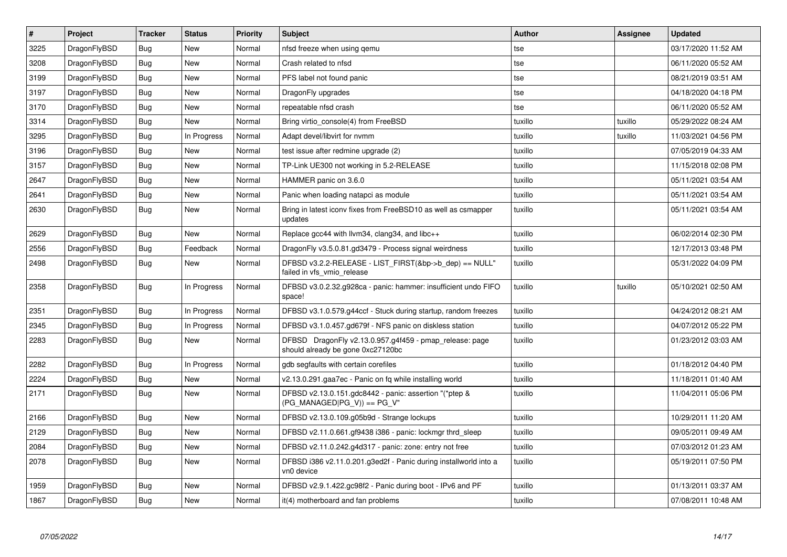| $\vert$ # | <b>Project</b> | <b>Tracker</b> | <b>Status</b> | Priority | <b>Subject</b>                                                                               | Author  | Assignee | <b>Updated</b>      |
|-----------|----------------|----------------|---------------|----------|----------------------------------------------------------------------------------------------|---------|----------|---------------------|
| 3225      | DragonFlyBSD   | Bug            | New           | Normal   | nfsd freeze when using gemu                                                                  | tse     |          | 03/17/2020 11:52 AM |
| 3208      | DragonFlyBSD   | Bug            | <b>New</b>    | Normal   | Crash related to nfsd                                                                        | tse     |          | 06/11/2020 05:52 AM |
| 3199      | DragonFlyBSD   | <b>Bug</b>     | <b>New</b>    | Normal   | PFS label not found panic                                                                    | tse     |          | 08/21/2019 03:51 AM |
| 3197      | DragonFlyBSD   | Bug            | <b>New</b>    | Normal   | DragonFly upgrades                                                                           | tse     |          | 04/18/2020 04:18 PM |
| 3170      | DragonFlyBSD   | <b>Bug</b>     | <b>New</b>    | Normal   | repeatable nfsd crash                                                                        | tse     |          | 06/11/2020 05:52 AM |
| 3314      | DragonFlyBSD   | Bug            | <b>New</b>    | Normal   | Bring virtio console(4) from FreeBSD                                                         | tuxillo | tuxillo  | 05/29/2022 08:24 AM |
| 3295      | DragonFlyBSD   | <b>Bug</b>     | In Progress   | Normal   | Adapt devel/libvirt for nvmm                                                                 | tuxillo | tuxillo  | 11/03/2021 04:56 PM |
| 3196      | DragonFlyBSD   | Bug            | New           | Normal   | test issue after redmine upgrade (2)                                                         | tuxillo |          | 07/05/2019 04:33 AM |
| 3157      | DragonFlyBSD   | <b>Bug</b>     | <b>New</b>    | Normal   | TP-Link UE300 not working in 5.2-RELEASE                                                     | tuxillo |          | 11/15/2018 02:08 PM |
| 2647      | DragonFlyBSD   | Bug            | New           | Normal   | HAMMER panic on 3.6.0                                                                        | tuxillo |          | 05/11/2021 03:54 AM |
| 2641      | DragonFlyBSD   | <b>Bug</b>     | New           | Normal   | Panic when loading natapci as module                                                         | tuxillo |          | 05/11/2021 03:54 AM |
| 2630      | DragonFlyBSD   | Bug            | New           | Normal   | Bring in latest iconv fixes from FreeBSD10 as well as csmapper<br>updates                    | tuxillo |          | 05/11/2021 03:54 AM |
| 2629      | DragonFlyBSD   | Bug            | New           | Normal   | Replace gcc44 with llvm34, clang34, and libc++                                               | tuxillo |          | 06/02/2014 02:30 PM |
| 2556      | DragonFlyBSD   | <b>Bug</b>     | Feedback      | Normal   | DragonFly v3.5.0.81.gd3479 - Process signal weirdness                                        | tuxillo |          | 12/17/2013 03:48 PM |
| 2498      | DragonFlyBSD   | <b>Bug</b>     | New           | Normal   | DFBSD v3.2.2-RELEASE - LIST_FIRST(&bp->b_dep) == NULL"<br>failed in vfs_vmio_release         | tuxillo |          | 05/31/2022 04:09 PM |
| 2358      | DragonFlyBSD   | Bug            | In Progress   | Normal   | DFBSD v3.0.2.32.g928ca - panic: hammer: insufficient undo FIFO<br>space!                     | tuxillo | tuxillo  | 05/10/2021 02:50 AM |
| 2351      | DragonFlyBSD   | Bug            | In Progress   | Normal   | DFBSD v3.1.0.579.g44ccf - Stuck during startup, random freezes                               | tuxillo |          | 04/24/2012 08:21 AM |
| 2345      | DragonFlyBSD   | <b>Bug</b>     | In Progress   | Normal   | DFBSD v3.1.0.457.gd679f - NFS panic on diskless station                                      | tuxillo |          | 04/07/2012 05:22 PM |
| 2283      | DragonFlyBSD   | Bug            | <b>New</b>    | Normal   | DFBSD DragonFly v2.13.0.957.g4f459 - pmap release: page<br>should already be gone 0xc27120bc | tuxillo |          | 01/23/2012 03:03 AM |
| 2282      | DragonFlyBSD   | Bug            | In Progress   | Normal   | gdb segfaults with certain corefiles                                                         | tuxillo |          | 01/18/2012 04:40 PM |
| 2224      | DragonFlyBSD   | <b>Bug</b>     | New           | Normal   | v2.13.0.291.gaa7ec - Panic on fq while installing world                                      | tuxillo |          | 11/18/2011 01:40 AM |
| 2171      | DragonFlyBSD   | Bug            | New           | Normal   | DFBSD v2.13.0.151.gdc8442 - panic: assertion "(*ptep &<br>$(PG_MANAGED PG_V)) == PG_V"$      | tuxillo |          | 11/04/2011 05:06 PM |
| 2166      | DragonFlyBSD   | Bug            | <b>New</b>    | Normal   | DFBSD v2.13.0.109.g05b9d - Strange lockups                                                   | tuxillo |          | 10/29/2011 11:20 AM |
| 2129      | DragonFlyBSD   | Bug            | New           | Normal   | DFBSD v2.11.0.661.gf9438 i386 - panic: lockmgr thrd_sleep                                    | tuxillo |          | 09/05/2011 09:49 AM |
| 2084      | DragonFlyBSD   | Bug            | New           | Normal   | DFBSD v2.11.0.242.g4d317 - panic: zone: entry not free                                       | tuxillo |          | 07/03/2012 01:23 AM |
| 2078      | DragonFlyBSD   | Bug            | New           | Normal   | DFBSD i386 v2.11.0.201.g3ed2f - Panic during installworld into a<br>vn0 device               | tuxillo |          | 05/19/2011 07:50 PM |
| 1959      | DragonFlyBSD   | Bug            | New           | Normal   | DFBSD v2.9.1.422.gc98f2 - Panic during boot - IPv6 and PF                                    | tuxillo |          | 01/13/2011 03:37 AM |
| 1867      | DragonFlyBSD   | Bug            | New           | Normal   | it(4) motherboard and fan problems                                                           | tuxillo |          | 07/08/2011 10:48 AM |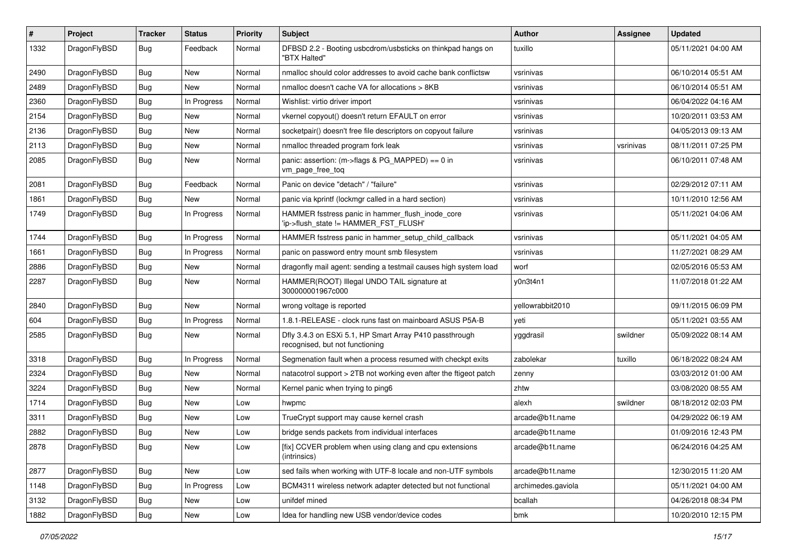| #    | Project      | <b>Tracker</b> | <b>Status</b> | <b>Priority</b> | <b>Subject</b>                                                                             | Author             | Assignee  | <b>Updated</b>      |
|------|--------------|----------------|---------------|-----------------|--------------------------------------------------------------------------------------------|--------------------|-----------|---------------------|
| 1332 | DragonFlyBSD | Bug            | Feedback      | Normal          | DFBSD 2.2 - Booting usbcdrom/usbsticks on thinkpad hangs on<br>"BTX Halted"                | tuxillo            |           | 05/11/2021 04:00 AM |
| 2490 | DragonFlyBSD | Bug            | <b>New</b>    | Normal          | nmalloc should color addresses to avoid cache bank conflictsw                              | vsrinivas          |           | 06/10/2014 05:51 AM |
| 2489 | DragonFlyBSD | <b>Bug</b>     | New           | Normal          | nmalloc doesn't cache VA for allocations > 8KB                                             | vsrinivas          |           | 06/10/2014 05:51 AM |
| 2360 | DragonFlyBSD | Bug            | In Progress   | Normal          | Wishlist: virtio driver import                                                             | vsrinivas          |           | 06/04/2022 04:16 AM |
| 2154 | DragonFlyBSD | <b>Bug</b>     | New           | Normal          | vkernel copyout() doesn't return EFAULT on error                                           | vsrinivas          |           | 10/20/2011 03:53 AM |
| 2136 | DragonFlyBSD | <b>Bug</b>     | <b>New</b>    | Normal          | socketpair() doesn't free file descriptors on copyout failure                              | vsrinivas          |           | 04/05/2013 09:13 AM |
| 2113 | DragonFlyBSD | <b>Bug</b>     | New           | Normal          | nmalloc threaded program fork leak                                                         | vsrinivas          | vsrinivas | 08/11/2011 07:25 PM |
| 2085 | DragonFlyBSD | Bug            | New           | Normal          | panic: assertion: (m->flags & PG_MAPPED) == 0 in<br>vm_page_free_toq                       | vsrinivas          |           | 06/10/2011 07:48 AM |
| 2081 | DragonFlyBSD | Bug            | Feedback      | Normal          | Panic on device "detach" / "failure"                                                       | vsrinivas          |           | 02/29/2012 07:11 AM |
| 1861 | DragonFlyBSD | <b>Bug</b>     | New           | Normal          | panic via kprintf (lockmgr called in a hard section)                                       | vsrinivas          |           | 10/11/2010 12:56 AM |
| 1749 | DragonFlyBSD | <b>Bug</b>     | In Progress   | Normal          | HAMMER fsstress panic in hammer_flush_inode_core<br>'ip->flush_state != HAMMER_FST_FLUSH'  | vsrinivas          |           | 05/11/2021 04:06 AM |
| 1744 | DragonFlyBSD | <b>Bug</b>     | In Progress   | Normal          | HAMMER fsstress panic in hammer_setup_child_callback                                       | vsrinivas          |           | 05/11/2021 04:05 AM |
| 1661 | DragonFlyBSD | <b>Bug</b>     | In Progress   | Normal          | panic on password entry mount smb filesystem                                               | vsrinivas          |           | 11/27/2021 08:29 AM |
| 2886 | DragonFlyBSD | <b>Bug</b>     | <b>New</b>    | Normal          | dragonfly mail agent: sending a testmail causes high system load                           | worf               |           | 02/05/2016 05:53 AM |
| 2287 | DragonFlyBSD | <b>Bug</b>     | New           | Normal          | HAMMER(ROOT) Illegal UNDO TAIL signature at<br>300000001967c000                            | y0n3t4n1           |           | 11/07/2018 01:22 AM |
| 2840 | DragonFlyBSD | <b>Bug</b>     | New           | Normal          | wrong voltage is reported                                                                  | yellowrabbit2010   |           | 09/11/2015 06:09 PM |
| 604  | DragonFlyBSD | <b>Bug</b>     | In Progress   | Normal          | 1.8.1-RELEASE - clock runs fast on mainboard ASUS P5A-B                                    | yeti               |           | 05/11/2021 03:55 AM |
| 2585 | DragonFlyBSD | <b>Bug</b>     | New           | Normal          | Dfly 3.4.3 on ESXi 5.1, HP Smart Array P410 passthrough<br>recognised, but not functioning | yggdrasil          | swildner  | 05/09/2022 08:14 AM |
| 3318 | DragonFlyBSD | <b>Bug</b>     | In Progress   | Normal          | Segmenation fault when a process resumed with checkpt exits                                | zabolekar          | tuxillo   | 06/18/2022 08:24 AM |
| 2324 | DragonFlyBSD | <b>Bug</b>     | <b>New</b>    | Normal          | natacotrol support > 2TB not working even after the ftigeot patch                          | zenny              |           | 03/03/2012 01:00 AM |
| 3224 | DragonFlyBSD | <b>Bug</b>     | <b>New</b>    | Normal          | Kernel panic when trying to ping6                                                          | zhtw               |           | 03/08/2020 08:55 AM |
| 1714 | DragonFlyBSD | Bug            | New           | Low             | hwpmc                                                                                      | alexh              | swildner  | 08/18/2012 02:03 PM |
| 3311 | DragonFlyBSD | <b>Bug</b>     | New           | Low             | TrueCrypt support may cause kernel crash                                                   | arcade@b1t.name    |           | 04/29/2022 06:19 AM |
| 2882 | DragonFlyBSD | <b>Bug</b>     | New           | Low             | bridge sends packets from individual interfaces                                            | arcade@b1t.name    |           | 01/09/2016 12:43 PM |
| 2878 | DragonFlyBSD | <b>Bug</b>     | New           | Low             | [fix] CCVER problem when using clang and cpu extensions<br>(intrinsics)                    | arcade@b1t.name    |           | 06/24/2016 04:25 AM |
| 2877 | DragonFlyBSD | <b>Bug</b>     | New           | Low             | sed fails when working with UTF-8 locale and non-UTF symbols                               | arcade@b1t.name    |           | 12/30/2015 11:20 AM |
| 1148 | DragonFlyBSD | <b>Bug</b>     | In Progress   | Low             | BCM4311 wireless network adapter detected but not functional                               | archimedes.gaviola |           | 05/11/2021 04:00 AM |
| 3132 | DragonFlyBSD | <b>Bug</b>     | New           | Low             | unifdef mined                                                                              | bcallah            |           | 04/26/2018 08:34 PM |
| 1882 | DragonFlyBSD | <b>Bug</b>     | New           | Low             | Idea for handling new USB vendor/device codes                                              | bmk                |           | 10/20/2010 12:15 PM |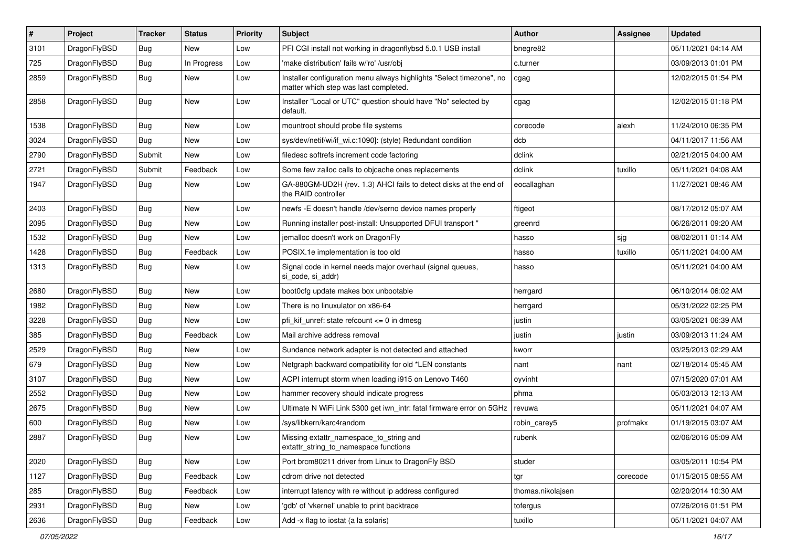| $\sharp$ | Project      | <b>Tracker</b> | <b>Status</b> | <b>Priority</b> | Subject                                                                                                       | <b>Author</b>     | Assignee | <b>Updated</b>      |
|----------|--------------|----------------|---------------|-----------------|---------------------------------------------------------------------------------------------------------------|-------------------|----------|---------------------|
| 3101     | DragonFlyBSD | <b>Bug</b>     | New           | Low             | PFI CGI install not working in dragonflybsd 5.0.1 USB install                                                 | bnegre82          |          | 05/11/2021 04:14 AM |
| 725      | DragonFlyBSD | Bug            | In Progress   | Low             | 'make distribution' fails w/'ro' /usr/obj                                                                     | c.turner          |          | 03/09/2013 01:01 PM |
| 2859     | DragonFlyBSD | <b>Bug</b>     | New           | Low             | Installer configuration menu always highlights "Select timezone", no<br>matter which step was last completed. | cgag              |          | 12/02/2015 01:54 PM |
| 2858     | DragonFlyBSD | <b>Bug</b>     | New           | Low             | Installer "Local or UTC" question should have "No" selected by<br>default.                                    | cgag              |          | 12/02/2015 01:18 PM |
| 1538     | DragonFlyBSD | <b>Bug</b>     | New           | Low             | mountroot should probe file systems                                                                           | corecode          | alexh    | 11/24/2010 06:35 PM |
| 3024     | DragonFlyBSD | <b>Bug</b>     | New           | Low             | sys/dev/netif/wi/if_wi.c:1090]: (style) Redundant condition                                                   | dcb               |          | 04/11/2017 11:56 AM |
| 2790     | DragonFlyBSD | Submit         | New           | Low             | filedesc softrefs increment code factoring                                                                    | dclink            |          | 02/21/2015 04:00 AM |
| 2721     | DragonFlyBSD | Submit         | Feedback      | Low             | Some few zalloc calls to objcache ones replacements                                                           | dclink            | tuxillo  | 05/11/2021 04:08 AM |
| 1947     | DragonFlyBSD | Bug            | New           | Low             | GA-880GM-UD2H (rev. 1.3) AHCI fails to detect disks at the end of<br>the RAID controller                      | eocallaghan       |          | 11/27/2021 08:46 AM |
| 2403     | DragonFlyBSD | Bug            | <b>New</b>    | Low             | newfs -E doesn't handle /dev/serno device names properly                                                      | ftigeot           |          | 08/17/2012 05:07 AM |
| 2095     | DragonFlyBSD | <b>Bug</b>     | New           | Low             | Running installer post-install: Unsupported DFUI transport "                                                  | greenrd           |          | 06/26/2011 09:20 AM |
| 1532     | DragonFlyBSD | <b>Bug</b>     | New           | Low             | jemalloc doesn't work on DragonFly                                                                            | hasso             | sjg      | 08/02/2011 01:14 AM |
| 1428     | DragonFlyBSD | <b>Bug</b>     | Feedback      | Low             | POSIX.1e implementation is too old                                                                            | hasso             | tuxillo  | 05/11/2021 04:00 AM |
| 1313     | DragonFlyBSD | <b>Bug</b>     | New           | Low             | Signal code in kernel needs major overhaul (signal queues,<br>si code, si addr)                               | hasso             |          | 05/11/2021 04:00 AM |
| 2680     | DragonFlyBSD | <b>Bug</b>     | <b>New</b>    | Low             | boot0cfg update makes box unbootable                                                                          | herrgard          |          | 06/10/2014 06:02 AM |
| 1982     | DragonFlyBSD | <b>Bug</b>     | New           | Low             | There is no linuxulator on x86-64                                                                             | herrgard          |          | 05/31/2022 02:25 PM |
| 3228     | DragonFlyBSD | Bug            | <b>New</b>    | Low             | pfi kif unref: state refcount $\leq$ 0 in dmesg                                                               | justin            |          | 03/05/2021 06:39 AM |
| 385      | DragonFlyBSD | <b>Bug</b>     | Feedback      | Low             | Mail archive address removal                                                                                  | justin            | justin   | 03/09/2013 11:24 AM |
| 2529     | DragonFlyBSD | Bug            | <b>New</b>    | Low             | Sundance network adapter is not detected and attached                                                         | kworr             |          | 03/25/2013 02:29 AM |
| 679      | DragonFlyBSD | Bug            | <b>New</b>    | Low             | Netgraph backward compatibility for old *LEN constants                                                        | nant              | nant     | 02/18/2014 05:45 AM |
| 3107     | DragonFlyBSD | Bug            | New           | Low             | ACPI interrupt storm when loading i915 on Lenovo T460                                                         | oyvinht           |          | 07/15/2020 07:01 AM |
| 2552     | DragonFlyBSD | Bug            | <b>New</b>    | Low             | hammer recovery should indicate progress                                                                      | phma              |          | 05/03/2013 12:13 AM |
| 2675     | DragonFlyBSD | Bug            | New           | Low             | Ultimate N WiFi Link 5300 get iwn intr: fatal firmware error on 5GHz                                          | revuwa            |          | 05/11/2021 04:07 AM |
| 600      | DragonFlyBSD | Bug            | <b>New</b>    | Low             | /sys/libkern/karc4random                                                                                      | robin_carey5      | profmakx | 01/19/2015 03:07 AM |
| 2887     | DragonFlyBSD | Bug            | <b>New</b>    | Low             | Missing extattr_namespace_to_string and<br>extattr string to namespace functions                              | rubenk            |          | 02/06/2016 05:09 AM |
| 2020     | DragonFlyBSD | <b>Bug</b>     | New           | Low             | Port brcm80211 driver from Linux to DragonFly BSD                                                             | studer            |          | 03/05/2011 10:54 PM |
| 1127     | DragonFlyBSD | <b>Bug</b>     | Feedback      | Low             | cdrom drive not detected                                                                                      | tgr               | corecode | 01/15/2015 08:55 AM |
| 285      | DragonFlyBSD | <b>Bug</b>     | Feedback      | Low             | interrupt latency with re without ip address configured                                                       | thomas.nikolajsen |          | 02/20/2014 10:30 AM |
| 2931     | DragonFlyBSD | <b>Bug</b>     | New           | Low             | 'gdb' of 'vkernel' unable to print backtrace                                                                  | tofergus          |          | 07/26/2016 01:51 PM |
| 2636     | DragonFlyBSD | <b>Bug</b>     | Feedback      | Low             | Add -x flag to iostat (a la solaris)                                                                          | tuxillo           |          | 05/11/2021 04:07 AM |